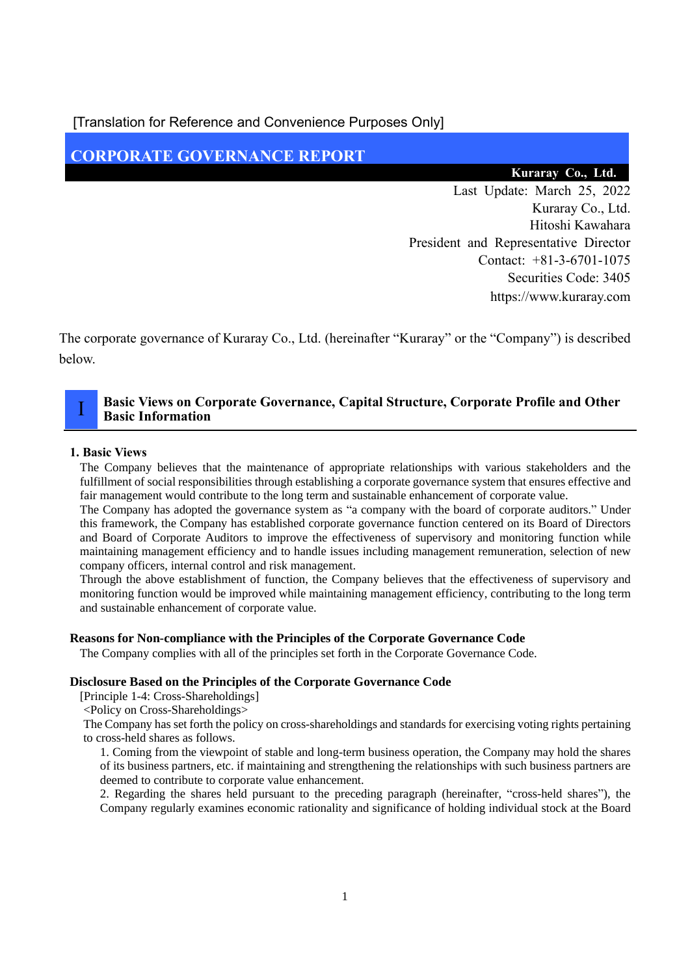[Translation for Reference and Convenience Purposes Only]

## **CORPORATE GOVERNANCE REPORT**

#### **Kuraray Co., Ltd.**

Last Update: March 25, 2022 Kuraray Co., Ltd. Hitoshi Kawahara President and Representative Director Contact: +81-3-6701-1075 Securities Code: 3405 https://www.kuraray.com

The corporate governance of Kuraray Co., Ltd. (hereinafter "Kuraray" or the "Company") is described below.

### **Basic Views on Corporate Governance, Capital Structure, Corporate Profile and Other Basic Information**

#### **1. Basic Views**

I

The Company believes that the maintenance of appropriate relationships with various stakeholders and the fulfillment of social responsibilities through establishing a corporate governance system that ensures effective and fair management would contribute to the long term and sustainable enhancement of corporate value.

The Company has adopted the governance system as "a company with the board of corporate auditors." Under this framework, the Company has established corporate governance function centered on its Board of Directors and Board of Corporate Auditors to improve the effectiveness of supervisory and monitoring function while maintaining management efficiency and to handle issues including management remuneration, selection of new company officers, internal control and risk management.

Through the above establishment of function, the Company believes that the effectiveness of supervisory and monitoring function would be improved while maintaining management efficiency, contributing to the long term and sustainable enhancement of corporate value.

#### **Reasons for Non-compliance with the Principles of the Corporate Governance Code**

The Company complies with all of the principles set forth in the Corporate Governance Code.

#### **Disclosure Based on the Principles of the Corporate Governance Code**

[Principle 1-4: Cross-Shareholdings]

<Policy on Cross-Shareholdings>

The Company has set forth the policy on cross-shareholdings and standards for exercising voting rights pertaining to cross-held shares as follows.

1. Coming from the viewpoint of stable and long-term business operation, the Company may hold the shares of its business partners, etc. if maintaining and strengthening the relationships with such business partners are deemed to contribute to corporate value enhancement.

2. Regarding the shares held pursuant to the preceding paragraph (hereinafter, "cross-held shares"), the Company regularly examines economic rationality and significance of holding individual stock at the Board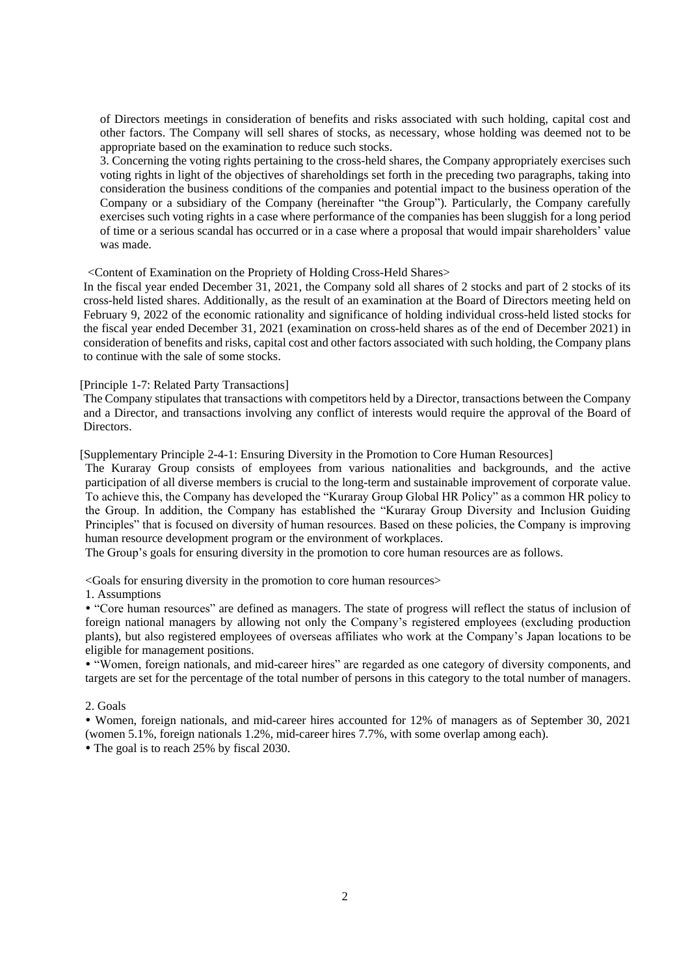of Directors meetings in consideration of benefits and risks associated with such holding, capital cost and other factors. The Company will sell shares of stocks, as necessary, whose holding was deemed not to be appropriate based on the examination to reduce such stocks.

3. Concerning the voting rights pertaining to the cross-held shares, the Company appropriately exercises such voting rights in light of the objectives of shareholdings set forth in the preceding two paragraphs, taking into consideration the business conditions of the companies and potential impact to the business operation of the Company or a subsidiary of the Company (hereinafter "the Group"). Particularly, the Company carefully exercises such voting rights in a case where performance of the companies has been sluggish for a long period of time or a serious scandal has occurred or in a case where a proposal that would impair shareholders' value was made.

<Content of Examination on the Propriety of Holding Cross-Held Shares>

In the fiscal year ended December 31, 2021, the Company sold all shares of 2 stocks and part of 2 stocks of its cross-held listed shares. Additionally, as the result of an examination at the Board of Directors meeting held on February 9, 2022 of the economic rationality and significance of holding individual cross-held listed stocks for the fiscal year ended December 31, 2021 (examination on cross-held shares as of the end of December 2021) in consideration of benefits and risks, capital cost and other factors associated with such holding, the Company plans to continue with the sale of some stocks.

[Principle 1-7: Related Party Transactions]

The Company stipulates that transactions with competitors held by a Director, transactions between the Company and a Director, and transactions involving any conflict of interests would require the approval of the Board of **Directors** 

[Supplementary Principle 2-4-1: Ensuring Diversity in the Promotion to Core Human Resources]

The Kuraray Group consists of employees from various nationalities and backgrounds, and the active participation of all diverse members is crucial to the long-term and sustainable improvement of corporate value. To achieve this, the Company has developed the "Kuraray Group Global HR Policy" as a common HR policy to the Group. In addition, the Company has established the "Kuraray Group Diversity and Inclusion Guiding Principles" that is focused on diversity of human resources. Based on these policies, the Company is improving human resource development program or the environment of workplaces.

The Group's goals for ensuring diversity in the promotion to core human resources are as follows.

<Goals for ensuring diversity in the promotion to core human resources>

1. Assumptions

 "Core human resources" are defined as managers. The state of progress will reflect the status of inclusion of foreign national managers by allowing not only the Company's registered employees (excluding production plants), but also registered employees of overseas affiliates who work at the Company's Japan locations to be eligible for management positions.

 "Women, foreign nationals, and mid-career hires" are regarded as one category of diversity components, and targets are set for the percentage of the total number of persons in this category to the total number of managers.

2. Goals

 Women, foreign nationals, and mid-career hires accounted for 12% of managers as of September 30, 2021 (women 5.1%, foreign nationals 1.2%, mid-career hires 7.7%, with some overlap among each).

• The goal is to reach 25% by fiscal 2030.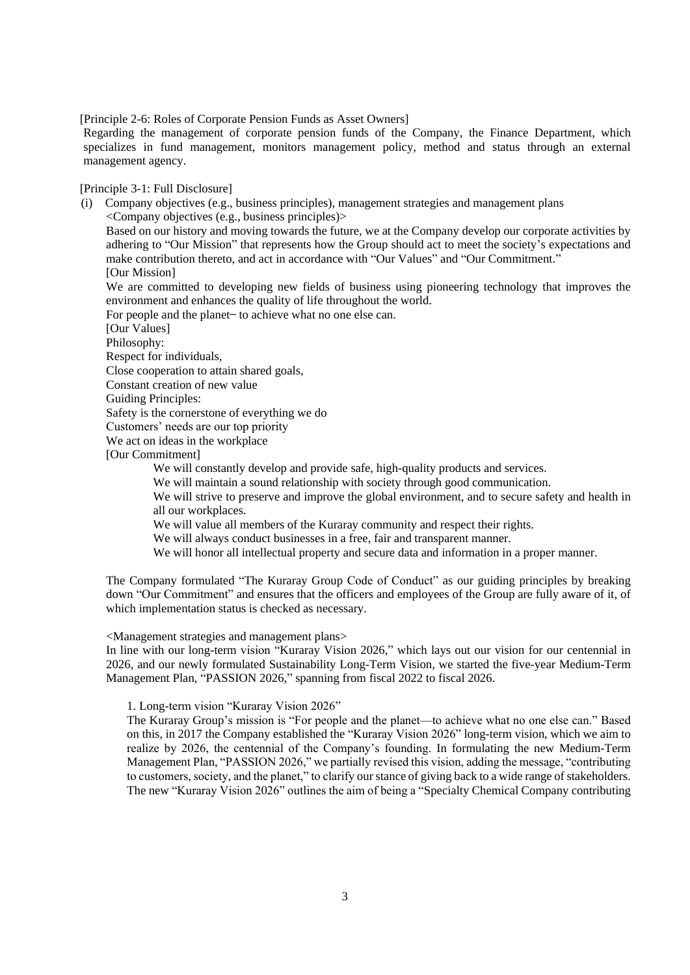[Principle 2-6: Roles of Corporate Pension Funds as Asset Owners]

Regarding the management of corporate pension funds of the Company, the Finance Department, which specializes in fund management, monitors management policy, method and status through an external management agency.

[Principle 3-1: Full Disclosure]

(i) Company objectives (e.g., business principles), management strategies and management plans <Company objectives (e.g., business principles)> Based on our history and moving towards the future, we at the Company develop our corporate activities by adhering to "Our Mission" that represents how the Group should act to meet the society's expectations and make contribution thereto, and act in accordance with "Our Values" and "Our Commitment."

[Our Mission]

We are committed to developing new fields of business using pioneering technology that improves the environment and enhances the quality of life throughout the world.

For people and the planet – to achieve what no one else can.

[Our Values]

Philosophy:

Respect for individuals,

Close cooperation to attain shared goals,

Constant creation of new value

Guiding Principles:

Safety is the cornerstone of everything we do

Customers' needs are our top priority

We act on ideas in the workplace

[Our Commitment]

We will constantly develop and provide safe, high-quality products and services.

We will maintain a sound relationship with society through good communication.

We will strive to preserve and improve the global environment, and to secure safety and health in all our workplaces.

We will value all members of the Kuraray community and respect their rights.

We will always conduct businesses in a free, fair and transparent manner.

We will honor all intellectual property and secure data and information in a proper manner.

The Company formulated "The Kuraray Group Code of Conduct" as our guiding principles by breaking down "Our Commitment" and ensures that the officers and employees of the Group are fully aware of it, of which implementation status is checked as necessary.

<Management strategies and management plans>

In line with our long-term vision "Kuraray Vision 2026," which lays out our vision for our centennial in 2026, and our newly formulated Sustainability Long-Term Vision, we started the five-year Medium-Term Management Plan, "PASSION 2026," spanning from fiscal 2022 to fiscal 2026.

1. Long-term vision "Kuraray Vision 2026"

The Kuraray Group's mission is "For people and the planet—to achieve what no one else can." Based on this, in 2017 the Company established the "Kuraray Vision 2026" long-term vision, which we aim to realize by 2026, the centennial of the Company's founding. In formulating the new Medium-Term Management Plan, "PASSION 2026," we partially revised this vision, adding the message, "contributing to customers, society, and the planet," to clarify our stance of giving back to a wide range of stakeholders. The new "Kuraray Vision 2026" outlines the aim of being a "Specialty Chemical Company contributing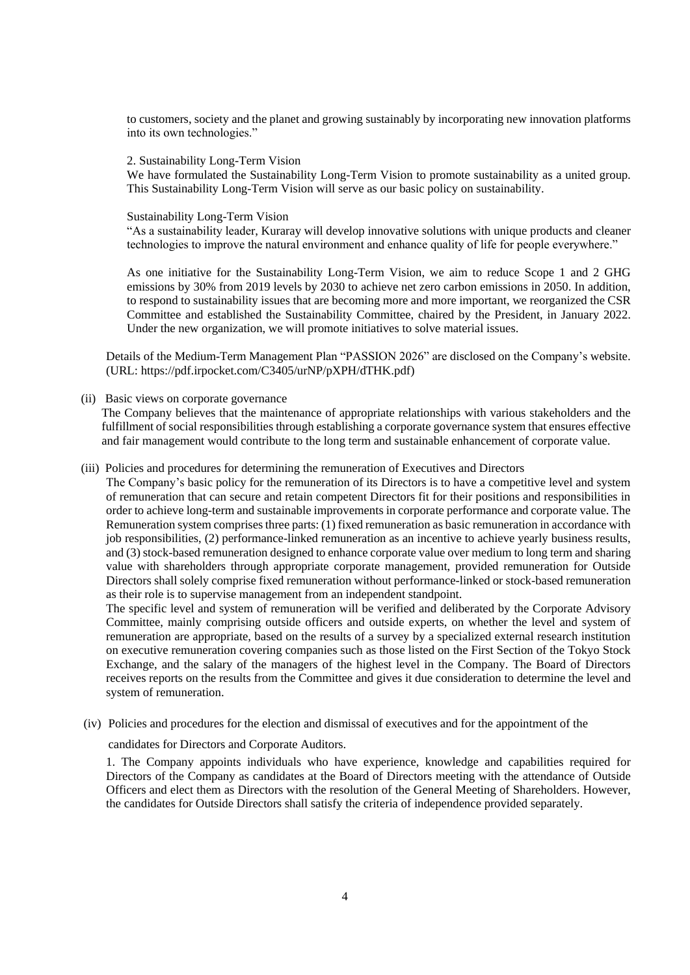to customers, society and the planet and growing sustainably by incorporating new innovation platforms into its own technologies."

#### 2. Sustainability Long-Term Vision

We have formulated the Sustainability Long-Term Vision to promote sustainability as a united group. This Sustainability Long-Term Vision will serve as our basic policy on sustainability.

#### Sustainability Long-Term Vision

"As a sustainability leader, Kuraray will develop innovative solutions with unique products and cleaner technologies to improve the natural environment and enhance quality of life for people everywhere."

As one initiative for the Sustainability Long-Term Vision, we aim to reduce Scope 1 and 2 GHG emissions by 30% from 2019 levels by 2030 to achieve net zero carbon emissions in 2050. In addition, to respond to sustainability issues that are becoming more and more important, we reorganized the CSR Committee and established the Sustainability Committee, chaired by the President, in January 2022. Under the new organization, we will promote initiatives to solve material issues.

Details of the Medium-Term Management Plan "PASSION 2026" are disclosed on the Company's website. (URL: https://pdf.irpocket.com/C3405/urNP/pXPH/dTHK.pdf)

#### (ii) Basic views on corporate governance

The Company believes that the maintenance of appropriate relationships with various stakeholders and the fulfillment of social responsibilities through establishing a corporate governance system that ensures effective and fair management would contribute to the long term and sustainable enhancement of corporate value.

#### (iii) Policies and procedures for determining the remuneration of Executives and Directors

The Company's basic policy for the remuneration of its Directors is to have a competitive level and system of remuneration that can secure and retain competent Directors fit for their positions and responsibilities in order to achieve long-term and sustainable improvements in corporate performance and corporate value. The Remuneration system comprises three parts: (1) fixed remuneration as basic remuneration in accordance with job responsibilities, (2) performance-linked remuneration as an incentive to achieve yearly business results, and (3) stock-based remuneration designed to enhance corporate value over medium to long term and sharing value with shareholders through appropriate corporate management, provided remuneration for Outside Directors shall solely comprise fixed remuneration without performance-linked or stock-based remuneration as their role is to supervise management from an independent standpoint.

The specific level and system of remuneration will be verified and deliberated by the Corporate Advisory Committee, mainly comprising outside officers and outside experts, on whether the level and system of remuneration are appropriate, based on the results of a survey by a specialized external research institution on executive remuneration covering companies such as those listed on the First Section of the Tokyo Stock Exchange, and the salary of the managers of the highest level in the Company. The Board of Directors receives reports on the results from the Committee and gives it due consideration to determine the level and system of remuneration.

(iv) Policies and procedures for the election and dismissal of executives and for the appointment of the

#### candidates for Directors and Corporate Auditors.

1. The Company appoints individuals who have experience, knowledge and capabilities required for Directors of the Company as candidates at the Board of Directors meeting with the attendance of Outside Officers and elect them as Directors with the resolution of the General Meeting of Shareholders. However, the candidates for Outside Directors shall satisfy the criteria of independence provided separately.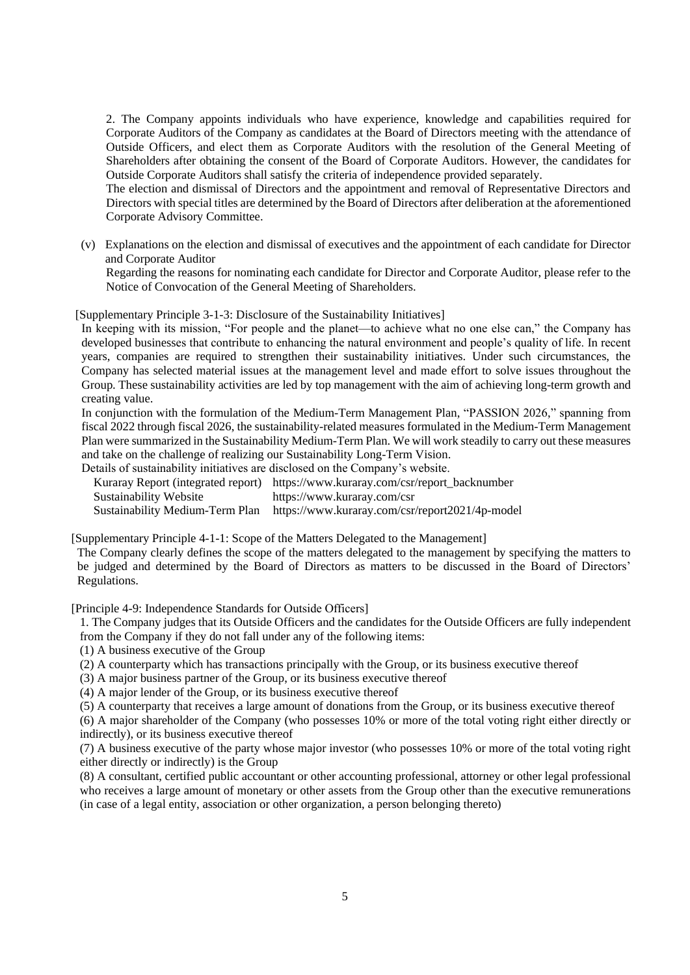2. The Company appoints individuals who have experience, knowledge and capabilities required for Corporate Auditors of the Company as candidates at the Board of Directors meeting with the attendance of Outside Officers, and elect them as Corporate Auditors with the resolution of the General Meeting of Shareholders after obtaining the consent of the Board of Corporate Auditors. However, the candidates for Outside Corporate Auditors shall satisfy the criteria of independence provided separately.

The election and dismissal of Directors and the appointment and removal of Representative Directors and Directors with special titles are determined by the Board of Directors after deliberation at the aforementioned Corporate Advisory Committee.

(v) Explanations on the election and dismissal of executives and the appointment of each candidate for Director and Corporate Auditor

Regarding the reasons for nominating each candidate for Director and Corporate Auditor, please refer to the Notice of Convocation of the General Meeting of Shareholders.

[Supplementary Principle 3-1-3: Disclosure of the Sustainability Initiatives]

In keeping with its mission, "For people and the planet—to achieve what no one else can," the Company has developed businesses that contribute to enhancing the natural environment and people's quality of life. In recent years, companies are required to strengthen their sustainability initiatives. Under such circumstances, the Company has selected material issues at the management level and made effort to solve issues throughout the Group. These sustainability activities are led by top management with the aim of achieving long-term growth and creating value.

In conjunction with the formulation of the Medium-Term Management Plan, "PASSION 2026," spanning from fiscal 2022 through fiscal 2026, the sustainability-related measures formulated in the Medium-Term Management Plan were summarized in the Sustainability Medium-Term Plan. We will work steadily to carry out these measures and take on the challenge of realizing our Sustainability Long-Term Vision.

Details of sustainability initiatives are disclosed on the Company's website.

| Kuraray Report (integrated report) https://www.kuraray.com/csr/report_backnumber |
|----------------------------------------------------------------------------------|
| https://www.kuraray.com/csr                                                      |
| Sustainability Medium-Term Plan https://www.kuraray.com/csr/report2021/4p-model  |
|                                                                                  |

[Supplementary Principle 4-1-1: Scope of the Matters Delegated to the Management]

The Company clearly defines the scope of the matters delegated to the management by specifying the matters to be judged and determined by the Board of Directors as matters to be discussed in the Board of Directors' Regulations.

[Principle 4-9: Independence Standards for Outside Officers]

1. The Company judges that its Outside Officers and the candidates for the Outside Officers are fully independent from the Company if they do not fall under any of the following items:

(1) A business executive of the Group

(2) A counterparty which has transactions principally with the Group, or its business executive thereof

(3) A major business partner of the Group, or its business executive thereof

(4) A major lender of the Group, or its business executive thereof

(5) A counterparty that receives a large amount of donations from the Group, or its business executive thereof

(6) A major shareholder of the Company (who possesses 10% or more of the total voting right either directly or indirectly), or its business executive thereof

(7) A business executive of the party whose major investor (who possesses 10% or more of the total voting right either directly or indirectly) is the Group

(8) A consultant, certified public accountant or other accounting professional, attorney or other legal professional who receives a large amount of monetary or other assets from the Group other than the executive remunerations (in case of a legal entity, association or other organization, a person belonging thereto)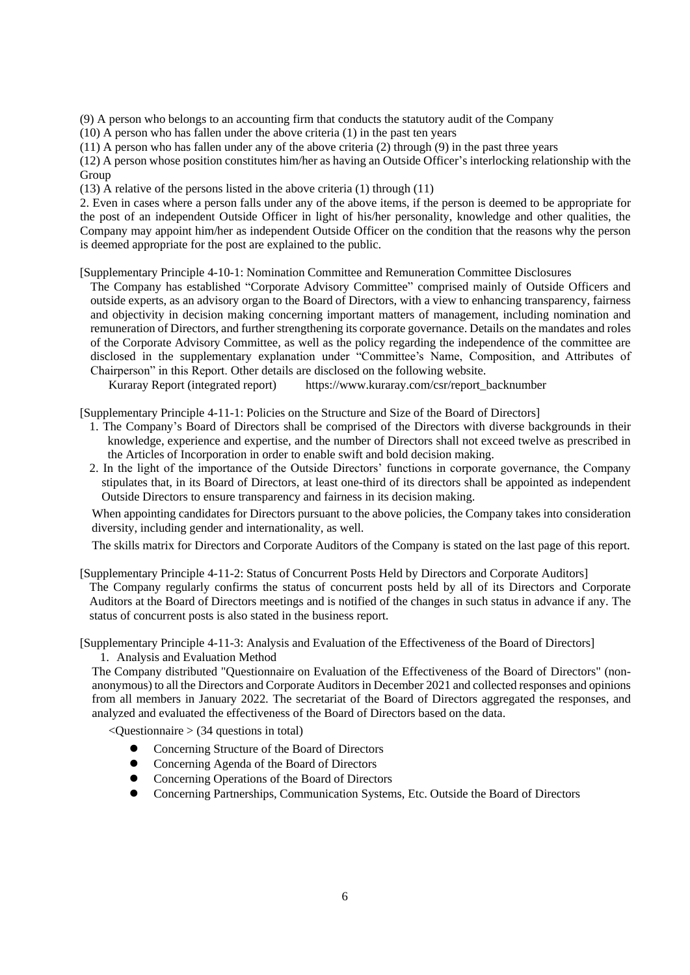(9) A person who belongs to an accounting firm that conducts the statutory audit of the Company

(10) A person who has fallen under the above criteria (1) in the past ten years

(11) A person who has fallen under any of the above criteria (2) through (9) in the past three years

(12) A person whose position constitutes him/her as having an Outside Officer's interlocking relationship with the Group

(13) A relative of the persons listed in the above criteria (1) through (11)

2. Even in cases where a person falls under any of the above items, if the person is deemed to be appropriate for the post of an independent Outside Officer in light of his/her personality, knowledge and other qualities, the Company may appoint him/her as independent Outside Officer on the condition that the reasons why the person is deemed appropriate for the post are explained to the public.

[Supplementary Principle 4-10-1: Nomination Committee and Remuneration Committee Disclosures

The Company has established "Corporate Advisory Committee" comprised mainly of Outside Officers and outside experts, as an advisory organ to the Board of Directors, with a view to enhancing transparency, fairness and objectivity in decision making concerning important matters of management, including nomination and remuneration of Directors, and further strengthening its corporate governance. Details on the mandates and roles of the Corporate Advisory Committee, as well as the policy regarding the independence of the committee are disclosed in the supplementary explanation under "Committee's Name, Composition, and Attributes of Chairperson" in this Report. Other details are disclosed on the following website.

Kuraray Report (integrated report) https://www.kuraray.com/csr/report\_backnumber

[Supplementary Principle 4-11-1: Policies on the Structure and Size of the Board of Directors]

- 1. The Company's Board of Directors shall be comprised of the Directors with diverse backgrounds in their knowledge, experience and expertise, and the number of Directors shall not exceed twelve as prescribed in the Articles of Incorporation in order to enable swift and bold decision making.
- 2. In the light of the importance of the Outside Directors' functions in corporate governance, the Company stipulates that, in its Board of Directors, at least one-third of its directors shall be appointed as independent Outside Directors to ensure transparency and fairness in its decision making.

When appointing candidates for Directors pursuant to the above policies, the Company takes into consideration diversity, including gender and internationality, as well.

The skills matrix for Directors and Corporate Auditors of the Company is stated on the last page of this report.

[Supplementary Principle 4-11-2: Status of Concurrent Posts Held by Directors and Corporate Auditors] The Company regularly confirms the status of concurrent posts held by all of its Directors and Corporate Auditors at the Board of Directors meetings and is notified of the changes in such status in advance if any. The status of concurrent posts is also stated in the business report.

[Supplementary Principle 4-11-3: Analysis and Evaluation of the Effectiveness of the Board of Directors] 1. Analysis and Evaluation Method

The Company distributed "Questionnaire on Evaluation of the Effectiveness of the Board of Directors" (nonanonymous) to all the Directors and Corporate Auditors in December 2021 and collected responses and opinions from all members in January 2022. The secretariat of the Board of Directors aggregated the responses, and analyzed and evaluated the effectiveness of the Board of Directors based on the data.

 $\leq$ Ouestionnaire  $>$  (34 questions in total)

- ⚫ Concerning Structure of the Board of Directors
- ⚫ Concerning Agenda of the Board of Directors
- ⚫ Concerning Operations of the Board of Directors
- ⚫ Concerning Partnerships, Communication Systems, Etc. Outside the Board of Directors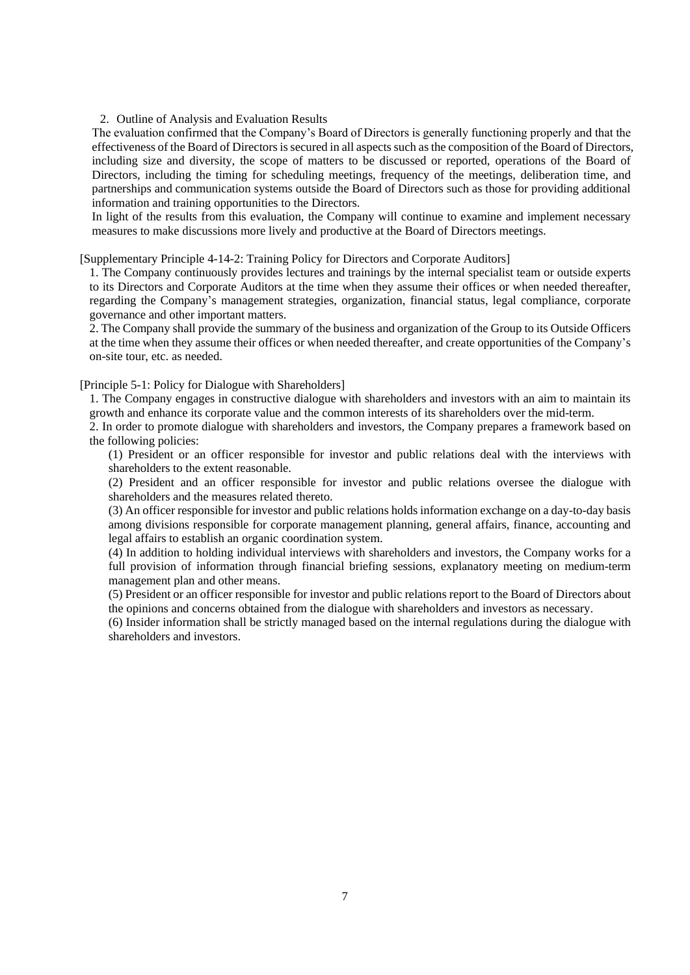2. Outline of Analysis and Evaluation Results

The evaluation confirmed that the Company's Board of Directors is generally functioning properly and that the effectiveness of the Board of Directors issecured in all aspects such as the composition of the Board of Directors, including size and diversity, the scope of matters to be discussed or reported, operations of the Board of Directors, including the timing for scheduling meetings, frequency of the meetings, deliberation time, and partnerships and communication systems outside the Board of Directors such as those for providing additional information and training opportunities to the Directors.

In light of the results from this evaluation, the Company will continue to examine and implement necessary measures to make discussions more lively and productive at the Board of Directors meetings.

[Supplementary Principle 4-14-2: Training Policy for Directors and Corporate Auditors]

1. The Company continuously provides lectures and trainings by the internal specialist team or outside experts to its Directors and Corporate Auditors at the time when they assume their offices or when needed thereafter, regarding the Company's management strategies, organization, financial status, legal compliance, corporate governance and other important matters.

2. The Company shall provide the summary of the business and organization of the Group to its Outside Officers at the time when they assume their offices or when needed thereafter, and create opportunities of the Company's on-site tour, etc. as needed.

[Principle 5-1: Policy for Dialogue with Shareholders]

1. The Company engages in constructive dialogue with shareholders and investors with an aim to maintain its growth and enhance its corporate value and the common interests of its shareholders over the mid-term.

2. In order to promote dialogue with shareholders and investors, the Company prepares a framework based on the following policies:

(1) President or an officer responsible for investor and public relations deal with the interviews with shareholders to the extent reasonable.

(2) President and an officer responsible for investor and public relations oversee the dialogue with shareholders and the measures related thereto.

(3) An officer responsible for investor and public relations holds information exchange on a day-to-day basis among divisions responsible for corporate management planning, general affairs, finance, accounting and legal affairs to establish an organic coordination system.

(4) In addition to holding individual interviews with shareholders and investors, the Company works for a full provision of information through financial briefing sessions, explanatory meeting on medium-term management plan and other means.

(5) President or an officer responsible for investor and public relations report to the Board of Directors about the opinions and concerns obtained from the dialogue with shareholders and investors as necessary.

(6) Insider information shall be strictly managed based on the internal regulations during the dialogue with shareholders and investors.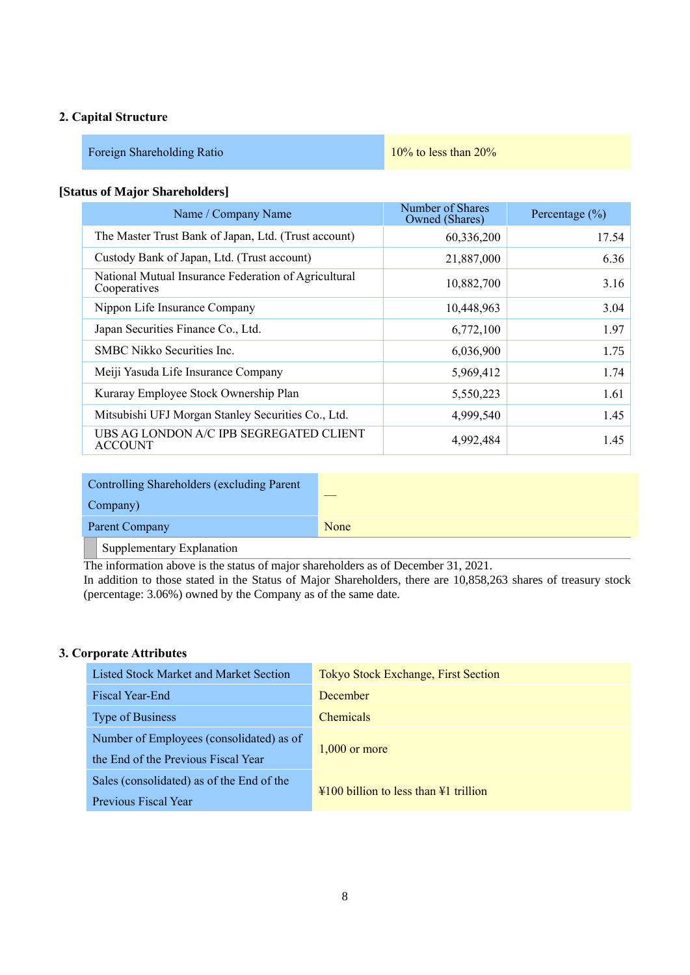### **2. Capital Structure**

| Foreign Shareholding Ratio | $10\%$ to less than $20\%$ |
|----------------------------|----------------------------|
|----------------------------|----------------------------|

#### **[Status of Major Shareholders]**

| Name / Company Name                                                  | Number of Shares<br>Owned (Shares) | Percentage $(\% )$ |
|----------------------------------------------------------------------|------------------------------------|--------------------|
| The Master Trust Bank of Japan, Ltd. (Trust account)                 | 60,336,200                         | 17.54              |
| Custody Bank of Japan, Ltd. (Trust account)                          | 21,887,000                         | 6.36               |
| National Mutual Insurance Federation of Agricultural<br>Cooperatives | 10,882,700                         | 3.16               |
| Nippon Life Insurance Company                                        | 10,448,963                         | 3.04               |
| Japan Securities Finance Co., Ltd.                                   | 6,772,100                          | 1.97               |
| <b>SMBC Nikko Securities Inc.</b>                                    | 6,036,900                          | 1.75               |
| Meiji Yasuda Life Insurance Company                                  | 5,969,412                          | 1.74               |
| Kuraray Employee Stock Ownership Plan                                | 5,550,223                          | 1.61               |
| Mitsubishi UFJ Morgan Stanley Securities Co., Ltd.                   | 4,999,540                          | 1.45               |
| UBS AG LONDON A/C IPB SEGREGATED CLIENT<br><b>ACCOUNT</b>            | 4,992,484                          | 1.45               |

| Controlling Shareholders (excluding Parent |      |
|--------------------------------------------|------|
| Company)                                   |      |
| Parent Company                             | None |
| Supplementary Explanation                  |      |

The information above is the status of major shareholders as of December 31, 2021. In addition to those stated in the Status of Major Shareholders, there are 10,858,263 shares of treasury stock (percentage: 3.06%) owned by the Company as of the same date.

#### **3. Corporate Attributes**

| Listed Stock Market and Market Section    | <b>Tokyo Stock Exchange, First Section</b>                    |  |  |  |
|-------------------------------------------|---------------------------------------------------------------|--|--|--|
| Fiscal Year-End                           | December                                                      |  |  |  |
| <b>Type of Business</b>                   | <b>Chemicals</b>                                              |  |  |  |
| Number of Employees (consolidated) as of  | $1.000$ or more                                               |  |  |  |
| the End of the Previous Fiscal Year       |                                                               |  |  |  |
| Sales (consolidated) as of the End of the | $\frac{1}{2}100$ billion to less than $\frac{1}{2}1$ trillion |  |  |  |
| Previous Fiscal Year                      |                                                               |  |  |  |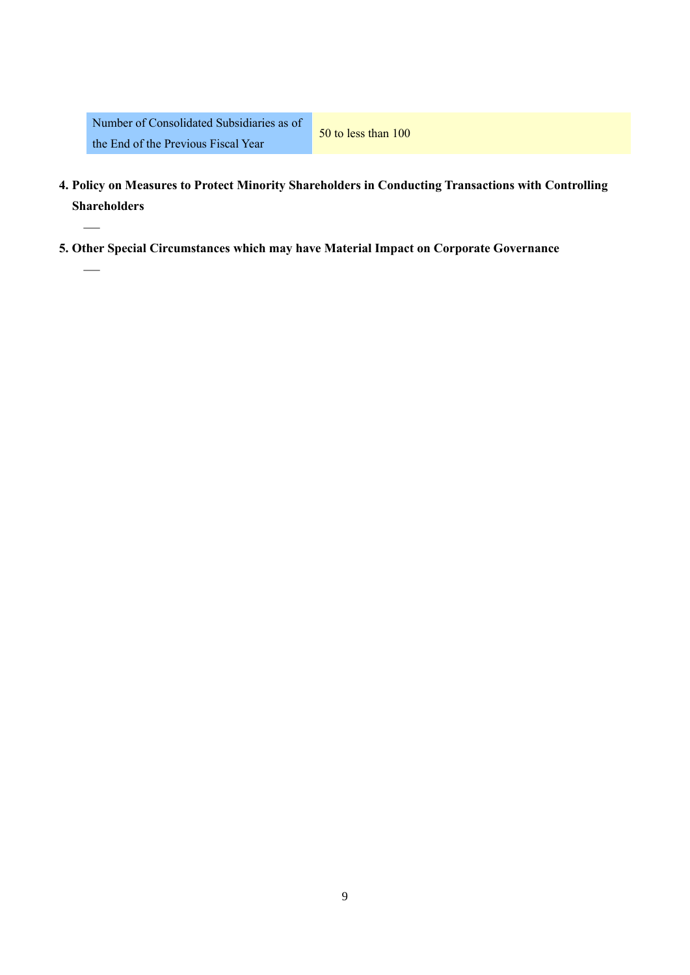—

—

- **4. Policy on Measures to Protect Minority Shareholders in Conducting Transactions with Controlling Shareholders**
- **5. Other Special Circumstances which may have Material Impact on Corporate Governance**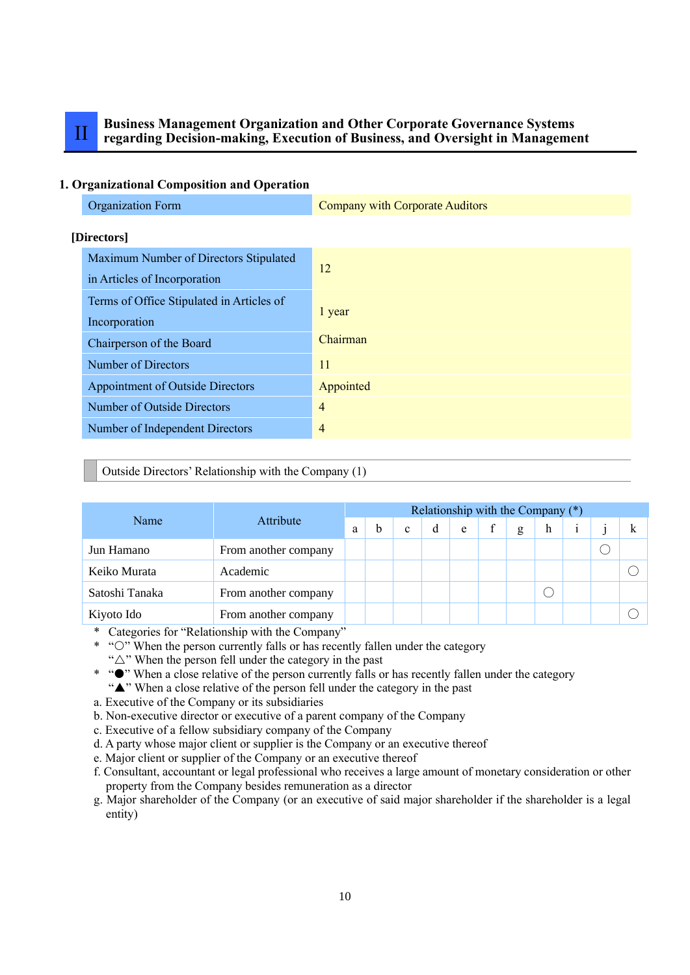# II **Business Management Organization and Other Corporate Governance Systems regarding Decision-making, Execution of Business, and Oversight in Management**

#### **1. Organizational Composition and Operation**

| <b>Organization Form</b>                                               | <b>Company with Corporate Auditors</b> |
|------------------------------------------------------------------------|----------------------------------------|
| [Directors]                                                            |                                        |
| Maximum Number of Directors Stipulated<br>in Articles of Incorporation | 12                                     |
| Terms of Office Stipulated in Articles of<br>Incorporation             | 1 year                                 |
| Chairperson of the Board                                               | Chairman                               |
| Number of Directors                                                    | 11                                     |
| <b>Appointment of Outside Directors</b>                                | Appointed                              |
| Number of Outside Directors                                            | 4                                      |
| Number of Independent Directors                                        | $\overline{4}$                         |
|                                                                        |                                        |

#### Outside Directors' Relationship with the Company (1)

|                |                      | Relationship with the Company (*) |   |   |   |   |  |   |   |  |   |
|----------------|----------------------|-----------------------------------|---|---|---|---|--|---|---|--|---|
| Name           | Attribute            |                                   | b | c | d | e |  | g | h |  | k |
| Jun Hamano     | From another company |                                   |   |   |   |   |  |   |   |  |   |
| Keiko Murata   | Academic             |                                   |   |   |   |   |  |   |   |  |   |
| Satoshi Tanaka | From another company |                                   |   |   |   |   |  |   |   |  |   |
| Kiyoto Ido     | From another company |                                   |   |   |   |   |  |   |   |  |   |

\* Categories for "Relationship with the Company"

- \* "O" When the person currently falls or has recently fallen under the category
	- " $\triangle$ " When the person fell under the category in the past
- \* " $\bullet$ " When a close relative of the person currently falls or has recently fallen under the category "A" When a close relative of the person fell under the category in the past
- a. Executive of the Company or its subsidiaries
- b. Non-executive director or executive of a parent company of the Company
- c. Executive of a fellow subsidiary company of the Company
- d. A party whose major client or supplier is the Company or an executive thereof
- e. Major client or supplier of the Company or an executive thereof
- f. Consultant, accountant or legal professional who receives a large amount of monetary consideration or other property from the Company besides remuneration as a director
- g. Major shareholder of the Company (or an executive of said major shareholder if the shareholder is a legal entity)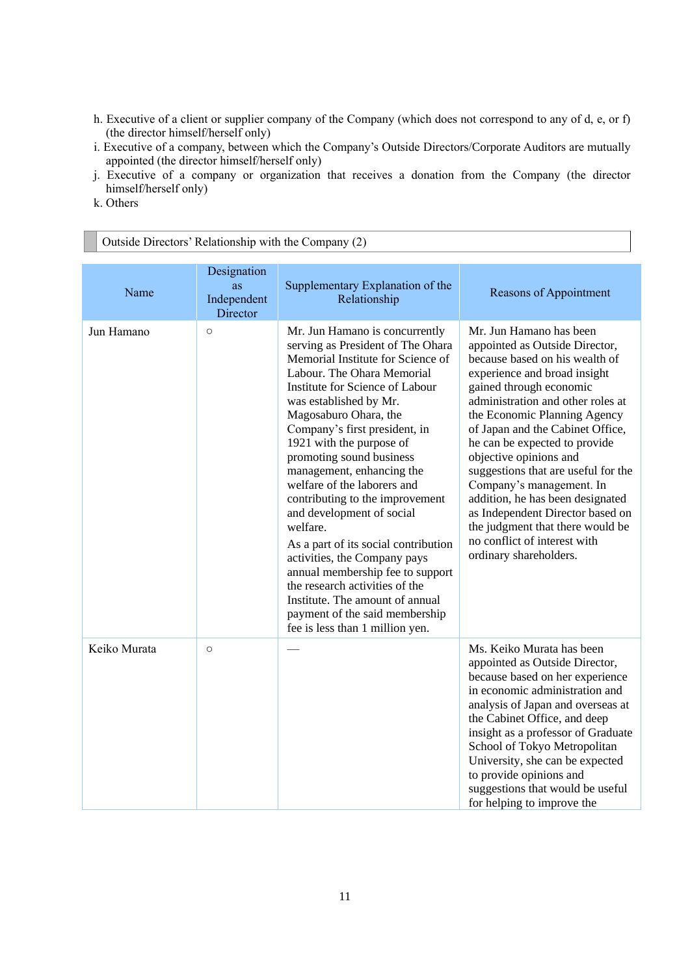- h. Executive of a client or supplier company of the Company (which does not correspond to any of d, e, or f) (the director himself/herself only)
- i. Executive of a company, between which the Company's Outside Directors/Corporate Auditors are mutually appointed (the director himself/herself only)
- j. Executive of a company or organization that receives a donation from the Company (the director himself/herself only)
- k. Others

| Outside Directors' Relationship with the Company (2) |                                              |                                                                                                                                                                                                                                                                                                                                                                                                                                                                                                                                                                                                                                                                                                                     |                                                                                                                                                                                                                                                                                                                                                                                                                                                                                                                                                                     |  |  |  |
|------------------------------------------------------|----------------------------------------------|---------------------------------------------------------------------------------------------------------------------------------------------------------------------------------------------------------------------------------------------------------------------------------------------------------------------------------------------------------------------------------------------------------------------------------------------------------------------------------------------------------------------------------------------------------------------------------------------------------------------------------------------------------------------------------------------------------------------|---------------------------------------------------------------------------------------------------------------------------------------------------------------------------------------------------------------------------------------------------------------------------------------------------------------------------------------------------------------------------------------------------------------------------------------------------------------------------------------------------------------------------------------------------------------------|--|--|--|
| Name                                                 | Designation<br>as<br>Independent<br>Director | Supplementary Explanation of the<br>Relationship                                                                                                                                                                                                                                                                                                                                                                                                                                                                                                                                                                                                                                                                    | Reasons of Appointment                                                                                                                                                                                                                                                                                                                                                                                                                                                                                                                                              |  |  |  |
| Jun Hamano                                           | $\circ$                                      | Mr. Jun Hamano is concurrently<br>serving as President of The Ohara<br>Memorial Institute for Science of<br>Labour. The Ohara Memorial<br>Institute for Science of Labour<br>was established by Mr.<br>Magosaburo Ohara, the<br>Company's first president, in<br>1921 with the purpose of<br>promoting sound business<br>management, enhancing the<br>welfare of the laborers and<br>contributing to the improvement<br>and development of social<br>welfare.<br>As a part of its social contribution<br>activities, the Company pays<br>annual membership fee to support<br>the research activities of the<br>Institute. The amount of annual<br>payment of the said membership<br>fee is less than 1 million yen. | Mr. Jun Hamano has been<br>appointed as Outside Director,<br>because based on his wealth of<br>experience and broad insight<br>gained through economic<br>administration and other roles at<br>the Economic Planning Agency<br>of Japan and the Cabinet Office,<br>he can be expected to provide<br>objective opinions and<br>suggestions that are useful for the<br>Company's management. In<br>addition, he has been designated<br>as Independent Director based on<br>the judgment that there would be<br>no conflict of interest with<br>ordinary shareholders. |  |  |  |
| Keiko Murata                                         | $\circ$                                      |                                                                                                                                                                                                                                                                                                                                                                                                                                                                                                                                                                                                                                                                                                                     | Ms. Keiko Murata has been<br>appointed as Outside Director,<br>because based on her experience<br>in economic administration and<br>analysis of Japan and overseas at<br>the Cabinet Office, and deep<br>insight as a professor of Graduate<br>School of Tokyo Metropolitan<br>University, she can be expected<br>to provide opinions and<br>suggestions that would be useful<br>for helping to improve the                                                                                                                                                         |  |  |  |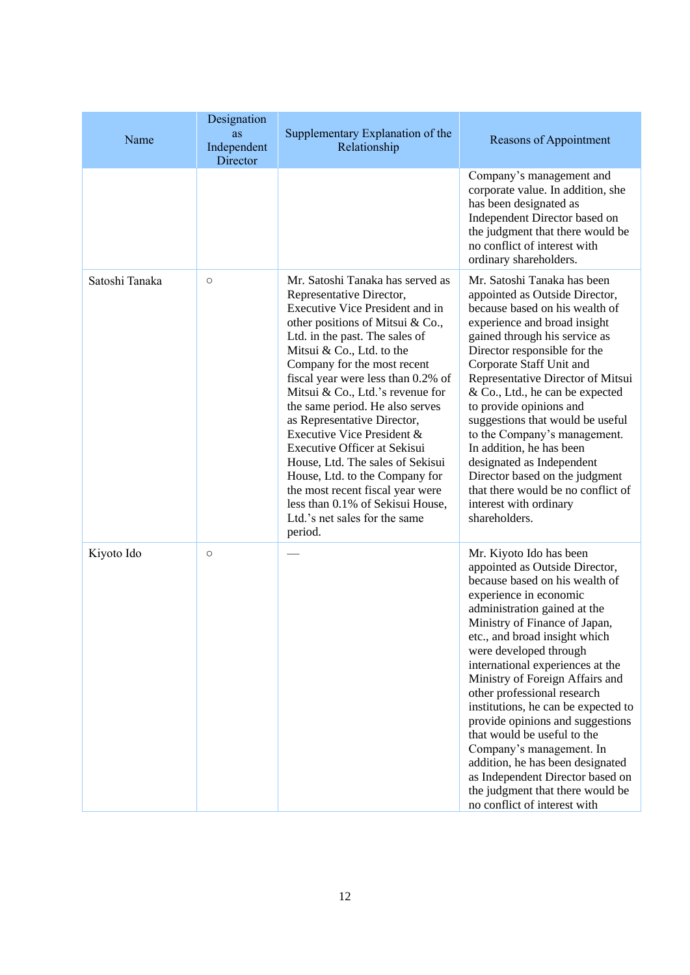| Name           | Designation<br>as<br>Independent<br>Director | Supplementary Explanation of the<br>Relationship                                                                                                                                                                                                                                                                                                                                                                                                                                                                                                                                                                                      | Reasons of Appointment                                                                                                                                                                                                                                                                                                                                                                                                                                                                                                                                                                                                                    |
|----------------|----------------------------------------------|---------------------------------------------------------------------------------------------------------------------------------------------------------------------------------------------------------------------------------------------------------------------------------------------------------------------------------------------------------------------------------------------------------------------------------------------------------------------------------------------------------------------------------------------------------------------------------------------------------------------------------------|-------------------------------------------------------------------------------------------------------------------------------------------------------------------------------------------------------------------------------------------------------------------------------------------------------------------------------------------------------------------------------------------------------------------------------------------------------------------------------------------------------------------------------------------------------------------------------------------------------------------------------------------|
|                |                                              |                                                                                                                                                                                                                                                                                                                                                                                                                                                                                                                                                                                                                                       | Company's management and<br>corporate value. In addition, she<br>has been designated as<br>Independent Director based on<br>the judgment that there would be<br>no conflict of interest with<br>ordinary shareholders.                                                                                                                                                                                                                                                                                                                                                                                                                    |
| Satoshi Tanaka | $\circ$                                      | Mr. Satoshi Tanaka has served as<br>Representative Director,<br>Executive Vice President and in<br>other positions of Mitsui & Co.,<br>Ltd. in the past. The sales of<br>Mitsui & Co., Ltd. to the<br>Company for the most recent<br>fiscal year were less than 0.2% of<br>Mitsui & Co., Ltd.'s revenue for<br>the same period. He also serves<br>as Representative Director,<br>Executive Vice President &<br>Executive Officer at Sekisui<br>House, Ltd. The sales of Sekisui<br>House, Ltd. to the Company for<br>the most recent fiscal year were<br>less than 0.1% of Sekisui House,<br>Ltd.'s net sales for the same<br>period. | Mr. Satoshi Tanaka has been<br>appointed as Outside Director,<br>because based on his wealth of<br>experience and broad insight<br>gained through his service as<br>Director responsible for the<br>Corporate Staff Unit and<br>Representative Director of Mitsui<br>& Co., Ltd., he can be expected<br>to provide opinions and<br>suggestions that would be useful<br>to the Company's management.<br>In addition, he has been<br>designated as Independent<br>Director based on the judgment<br>that there would be no conflict of<br>interest with ordinary<br>shareholders.                                                           |
| Kiyoto Ido     | $\circ$                                      |                                                                                                                                                                                                                                                                                                                                                                                                                                                                                                                                                                                                                                       | Mr. Kiyoto Ido has been<br>appointed as Outside Director,<br>because based on his wealth of<br>experience in economic<br>administration gained at the<br>Ministry of Finance of Japan,<br>etc., and broad insight which<br>were developed through<br>international experiences at the<br>Ministry of Foreign Affairs and<br>other professional research<br>institutions, he can be expected to<br>provide opinions and suggestions<br>that would be useful to the<br>Company's management. In<br>addition, he has been designated<br>as Independent Director based on<br>the judgment that there would be<br>no conflict of interest with |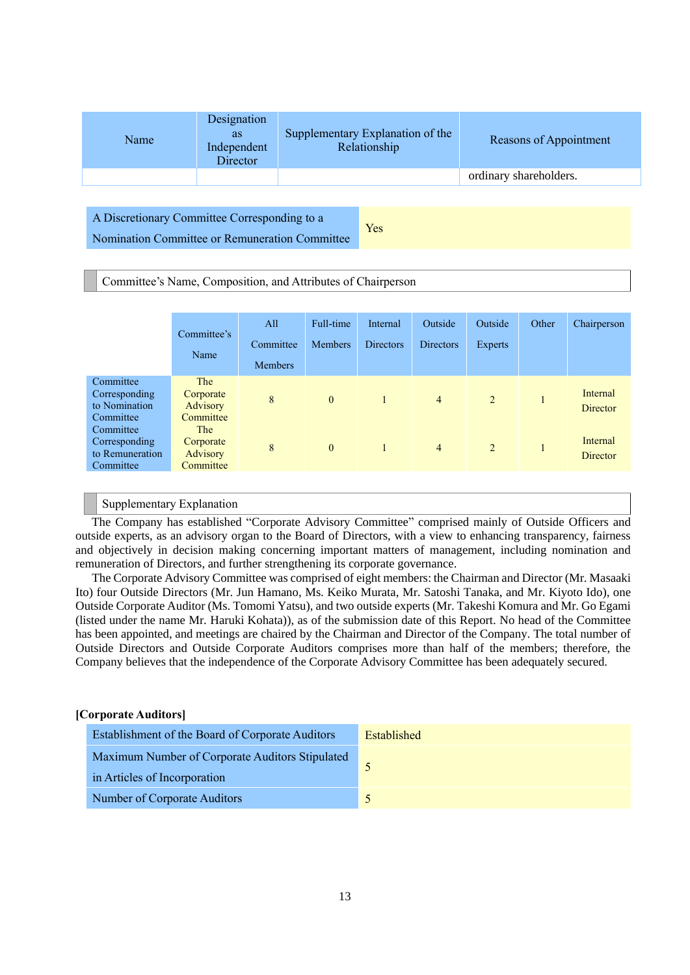| Name | Designation<br><b>as</b><br>Independent<br>Director | Supplementary Explanation of the<br>Relationship | Reasons of Appointment |
|------|-----------------------------------------------------|--------------------------------------------------|------------------------|
|      |                                                     |                                                  | ordinary shareholders. |
|      |                                                     |                                                  |                        |

A Discretionary Committee Corresponding to a Nomination Committee or Remuneration Committee

Yes

Committee's Name, Composition, and Attributes of Chairperson

|                                                            | Committee's<br>Name                       | All<br>Committee<br><b>Members</b> | Full-time<br><b>Members</b> | Internal<br><b>Directors</b> | Outside<br><b>Directors</b> | Outside<br>Experts | Other | Chairperson                 |
|------------------------------------------------------------|-------------------------------------------|------------------------------------|-----------------------------|------------------------------|-----------------------------|--------------------|-------|-----------------------------|
| Committee<br>Corresponding<br>to Nomination<br>Committee   | The<br>Corporate<br>Advisory<br>Committee | 8                                  | $\mathbf{0}$                |                              | $\overline{4}$              | 2                  |       | Internal<br><b>Director</b> |
| Committee<br>Corresponding<br>to Remuneration<br>Committee | The<br>Corporate<br>Advisory<br>Committee | 8                                  | $\mathbf{0}$                |                              | $\overline{4}$              | 2                  |       | Internal<br><b>Director</b> |

#### Supplementary Explanation

The Company has established "Corporate Advisory Committee" comprised mainly of Outside Officers and outside experts, as an advisory organ to the Board of Directors, with a view to enhancing transparency, fairness and objectively in decision making concerning important matters of management, including nomination and remuneration of Directors, and further strengthening its corporate governance.

The Corporate Advisory Committee was comprised of eight members: the Chairman and Director (Mr. Masaaki Ito) four Outside Directors (Mr. Jun Hamano, Ms. Keiko Murata, Mr. Satoshi Tanaka, and Mr. Kiyoto Ido), one Outside Corporate Auditor (Ms. Tomomi Yatsu), and two outside experts (Mr. Takeshi Komura and Mr. Go Egami (listed under the name Mr. Haruki Kohata)), as of the submission date of this Report. No head of the Committee has been appointed, and meetings are chaired by the Chairman and Director of the Company. The total number of Outside Directors and Outside Corporate Auditors comprises more than half of the members; therefore, the Company believes that the independence of the Corporate Advisory Committee has been adequately secured.

#### **[Corporate Auditors]**

| Establishment of the Board of Corporate Auditors | Established |
|--------------------------------------------------|-------------|
| Maximum Number of Corporate Auditors Stipulated  |             |
| in Articles of Incorporation                     |             |
| Number of Corporate Auditors                     |             |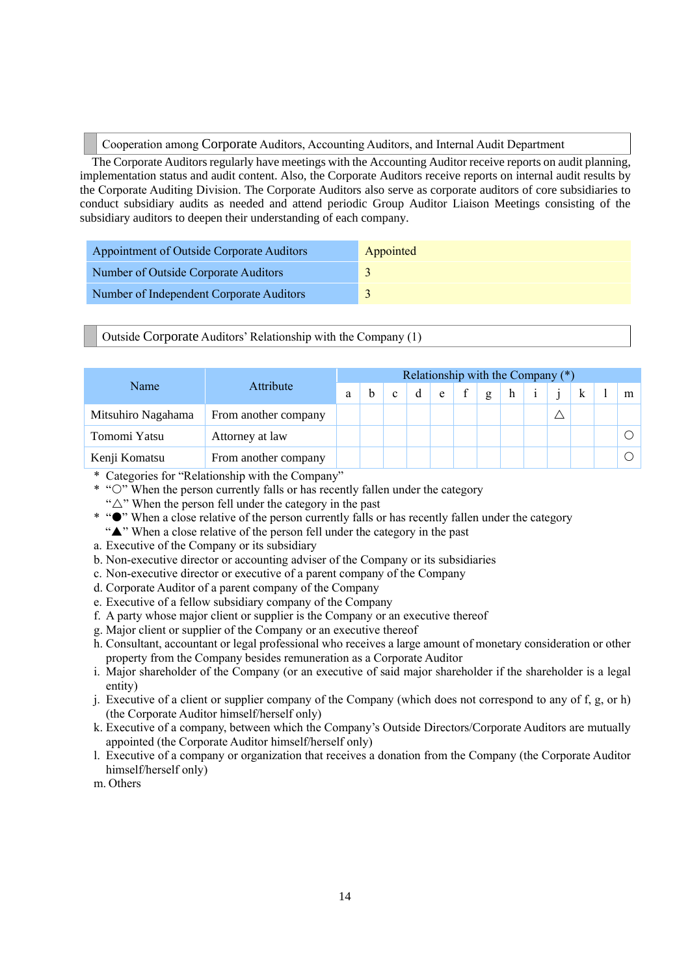Cooperation among Corporate Auditors, Accounting Auditors, and Internal Audit Department

The Corporate Auditors regularly have meetings with the Accounting Auditor receive reports on audit planning, implementation status and audit content. Also, the Corporate Auditors receive reports on internal audit results by the Corporate Auditing Division. The Corporate Auditors also serve as corporate auditors of core subsidiaries to conduct subsidiary audits as needed and attend periodic Group Auditor Liaison Meetings consisting of the subsidiary auditors to deepen their understanding of each company.

| Appointment of Outside Corporate Auditors | Appointed |
|-------------------------------------------|-----------|
| Number of Outside Corporate Auditors      |           |
| Number of Independent Corporate Auditors  |           |

Outside Corporate Auditors' Relationship with the Company (1)

|                    |                      |   | Relationship with the Company $(*)$ |              |   |   |  |   |   |  |  |  |   |
|--------------------|----------------------|---|-------------------------------------|--------------|---|---|--|---|---|--|--|--|---|
| Name               | Attribute            | a |                                     | $\mathbf{c}$ | d | e |  | g | h |  |  |  | m |
| Mitsuhiro Nagahama | From another company |   |                                     |              |   |   |  |   |   |  |  |  |   |
| Tomomi Yatsu       | Attorney at law      |   |                                     |              |   |   |  |   |   |  |  |  |   |
| Kenji Komatsu      | From another company |   |                                     |              |   |   |  |   |   |  |  |  |   |

\* Categories for "Relationship with the Company"

- $*$  " $\circ$ " When the person currently falls or has recently fallen under the category
- " $\triangle$ " When the person fell under the category in the past
- \* " $\bullet$ " When a close relative of the person currently falls or has recently fallen under the category
	- "A" When a close relative of the person fell under the category in the past
- a. Executive of the Company or its subsidiary
- b. Non-executive director or accounting adviser of the Company or its subsidiaries
- c. Non-executive director or executive of a parent company of the Company
- d. Corporate Auditor of a parent company of the Company
- e. Executive of a fellow subsidiary company of the Company
- f. A party whose major client or supplier is the Company or an executive thereof
- g. Major client or supplier of the Company or an executive thereof
- h. Consultant, accountant or legal professional who receives a large amount of monetary consideration or other property from the Company besides remuneration as a Corporate Auditor
- i. Major shareholder of the Company (or an executive of said major shareholder if the shareholder is a legal entity)
- j. Executive of a client or supplier company of the Company (which does not correspond to any of f, g, or h) (the Corporate Auditor himself/herself only)
- k. Executive of a company, between which the Company's Outside Directors/Corporate Auditors are mutually appointed (the Corporate Auditor himself/herself only)
- l. Executive of a company or organization that receives a donation from the Company (the Corporate Auditor himself/herself only)

m. Others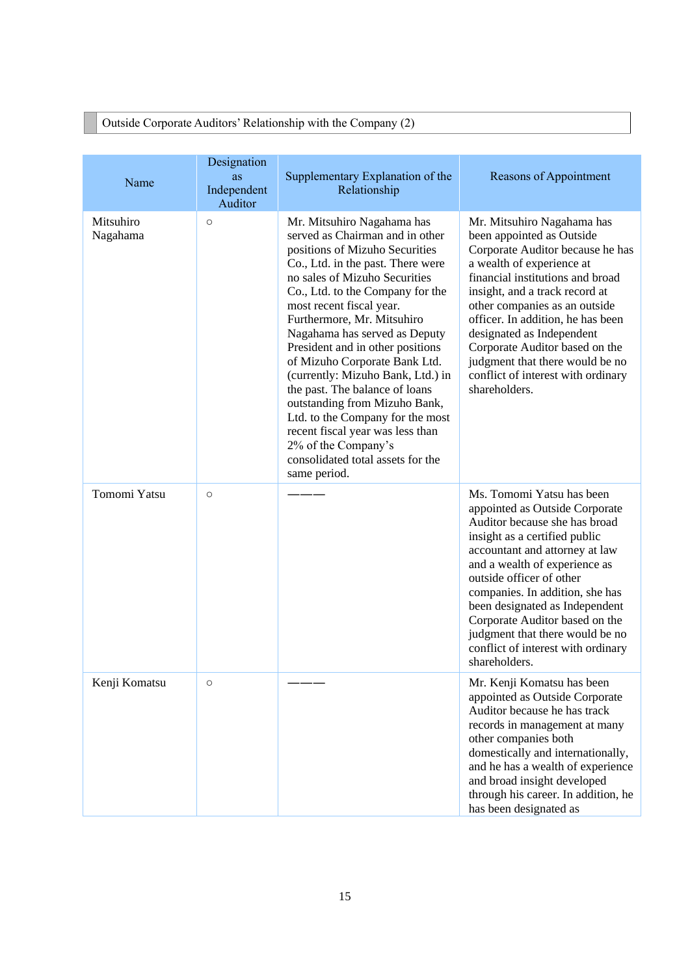|                       |                                             | Outside Corporate Auditors' Relationship with the Company (2)                                                                                                                                                                                                                                                                                                                                                                                                                                                                                                                                                                         |                                                                                                                                                                                                                                                                                                                                                                                                                               |
|-----------------------|---------------------------------------------|---------------------------------------------------------------------------------------------------------------------------------------------------------------------------------------------------------------------------------------------------------------------------------------------------------------------------------------------------------------------------------------------------------------------------------------------------------------------------------------------------------------------------------------------------------------------------------------------------------------------------------------|-------------------------------------------------------------------------------------------------------------------------------------------------------------------------------------------------------------------------------------------------------------------------------------------------------------------------------------------------------------------------------------------------------------------------------|
|                       |                                             |                                                                                                                                                                                                                                                                                                                                                                                                                                                                                                                                                                                                                                       |                                                                                                                                                                                                                                                                                                                                                                                                                               |
| Name                  | Designation<br>as<br>Independent<br>Auditor | Supplementary Explanation of the<br>Relationship                                                                                                                                                                                                                                                                                                                                                                                                                                                                                                                                                                                      | Reasons of Appointment                                                                                                                                                                                                                                                                                                                                                                                                        |
| Mitsuhiro<br>Nagahama | $\circ$                                     | Mr. Mitsuhiro Nagahama has<br>served as Chairman and in other<br>positions of Mizuho Securities<br>Co., Ltd. in the past. There were<br>no sales of Mizuho Securities<br>Co., Ltd. to the Company for the<br>most recent fiscal year.<br>Furthermore, Mr. Mitsuhiro<br>Nagahama has served as Deputy<br>President and in other positions<br>of Mizuho Corporate Bank Ltd.<br>(currently: Mizuho Bank, Ltd.) in<br>the past. The balance of loans<br>outstanding from Mizuho Bank,<br>Ltd. to the Company for the most<br>recent fiscal year was less than<br>2% of the Company's<br>consolidated total assets for the<br>same period. | Mr. Mitsuhiro Nagahama has<br>been appointed as Outside<br>Corporate Auditor because he has<br>a wealth of experience at<br>financial institutions and broad<br>insight, and a track record at<br>other companies as an outside<br>officer. In addition, he has been<br>designated as Independent<br>Corporate Auditor based on the<br>judgment that there would be no<br>conflict of interest with ordinary<br>shareholders. |
| Tomomi Yatsu          | $\circ$                                     |                                                                                                                                                                                                                                                                                                                                                                                                                                                                                                                                                                                                                                       | Ms. Tomomi Yatsu has been<br>appointed as Outside Corporate<br>Auditor because she has broad<br>insight as a certified public<br>accountant and attorney at law<br>and a wealth of experience as<br>outside officer of other<br>companies. In addition, she has<br>been designated as Independent<br>Corporate Auditor based on the<br>judgment that there would be no<br>conflict of interest with ordinary<br>shareholders. |
| Kenji Komatsu         | $\circ$                                     |                                                                                                                                                                                                                                                                                                                                                                                                                                                                                                                                                                                                                                       | Mr. Kenji Komatsu has been<br>appointed as Outside Corporate<br>Auditor because he has track<br>records in management at many<br>other companies both<br>domestically and internationally,<br>and he has a wealth of experience<br>and broad insight developed<br>through his career. In addition, he<br>has been designated as                                                                                               |

## Outside Corporate Auditors' Relationship with the Company (2)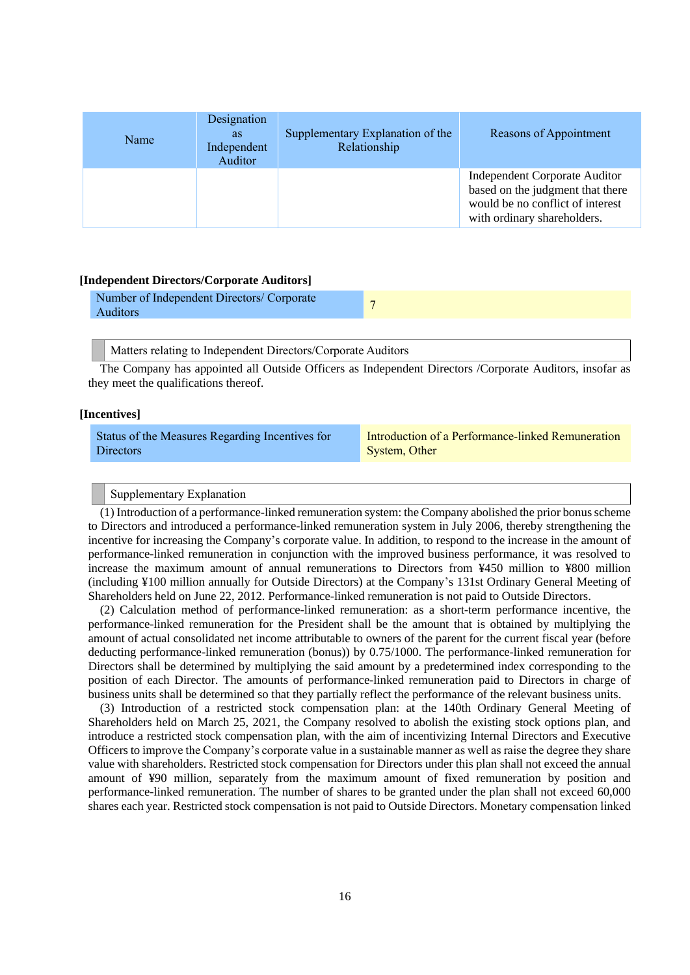| Name | Designation<br><b>as</b><br>Independent<br>Auditor | Supplementary Explanation of the<br>Relationship | Reasons of Appointment                                                                                                                      |
|------|----------------------------------------------------|--------------------------------------------------|---------------------------------------------------------------------------------------------------------------------------------------------|
|      |                                                    |                                                  | <b>Independent Corporate Auditor</b><br>based on the judgment that there<br>would be no conflict of interest<br>with ordinary shareholders. |

#### **[Independent Directors/Corporate Auditors]**

| Number of Independent Directors/ Corporate<br>Auditors |  |
|--------------------------------------------------------|--|
|                                                        |  |

Matters relating to Independent Directors/Corporate Auditors

The Company has appointed all Outside Officers as Independent Directors /Corporate Auditors, insofar as they meet the qualifications thereof.

#### **[Incentives]**

| Status of the Measures Regarding Incentives for | Introduction of a Performance-linked Remuneration |
|-------------------------------------------------|---------------------------------------------------|
| <b>Directors</b>                                | System, Other                                     |

Supplementary Explanation

(1) Introduction of a performance-linked remuneration system: the Company abolished the prior bonus scheme to Directors and introduced a performance-linked remuneration system in July 2006, thereby strengthening the incentive for increasing the Company's corporate value. In addition, to respond to the increase in the amount of performance-linked remuneration in conjunction with the improved business performance, it was resolved to increase the maximum amount of annual remunerations to Directors from ¥450 million to ¥800 million (including ¥100 million annually for Outside Directors) at the Company's 131st Ordinary General Meeting of Shareholders held on June 22, 2012. Performance-linked remuneration is not paid to Outside Directors.

(2) Calculation method of performance-linked remuneration: as a short-term performance incentive, the performance-linked remuneration for the President shall be the amount that is obtained by multiplying the amount of actual consolidated net income attributable to owners of the parent for the current fiscal year (before deducting performance-linked remuneration (bonus)) by 0.75/1000. The performance-linked remuneration for Directors shall be determined by multiplying the said amount by a predetermined index corresponding to the position of each Director. The amounts of performance-linked remuneration paid to Directors in charge of business units shall be determined so that they partially reflect the performance of the relevant business units.

(3) Introduction of a restricted stock compensation plan: at the 140th Ordinary General Meeting of Shareholders held on March 25, 2021, the Company resolved to abolish the existing stock options plan, and introduce a restricted stock compensation plan, with the aim of incentivizing Internal Directors and Executive Officers to improve the Company's corporate value in a sustainable manner as well as raise the degree they share value with shareholders. Restricted stock compensation for Directors under this plan shall not exceed the annual amount of ¥90 million, separately from the maximum amount of fixed remuneration by position and performance-linked remuneration. The number of shares to be granted under the plan shall not exceed 60,000 shares each year. Restricted stock compensation is not paid to Outside Directors. Monetary compensation linked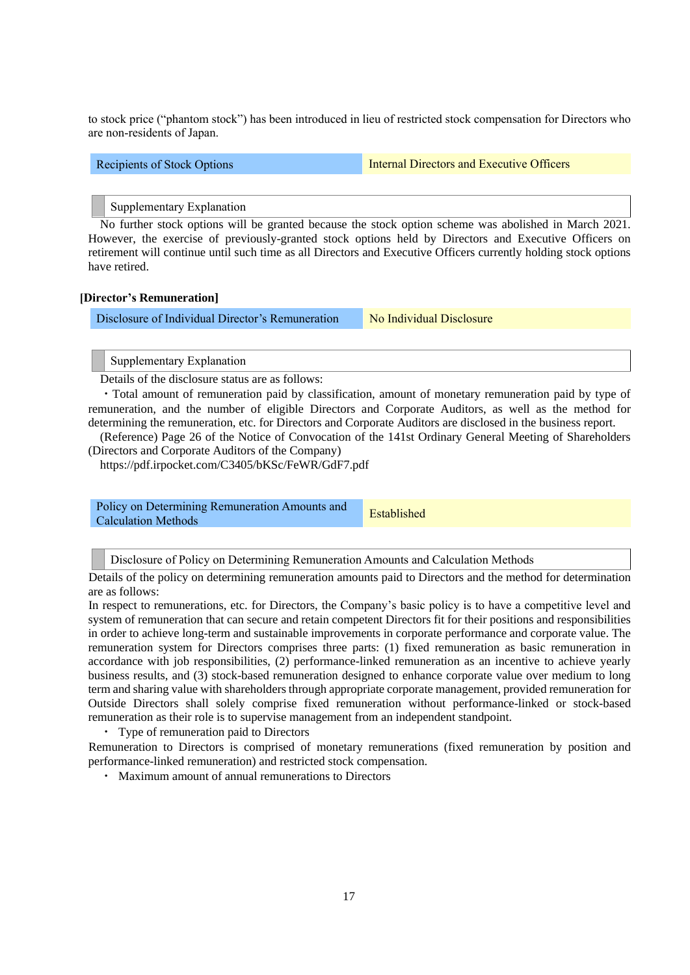to stock price ("phantom stock") has been introduced in lieu of restricted stock compensation for Directors who are non-residents of Japan.

Recipients of Stock Options **Internal Directors and Executive Officers** 

Supplementary Explanation

No further stock options will be granted because the stock option scheme was abolished in March 2021. However, the exercise of previously-granted stock options held by Directors and Executive Officers on retirement will continue until such time as all Directors and Executive Officers currently holding stock options have retired.

#### **[Director's Remuneration]**

Disclosure of Individual Director's Remuneration No Individual Disclosure

Supplementary Explanation

Details of the disclosure status are as follows:

・Total amount of remuneration paid by classification, amount of monetary remuneration paid by type of remuneration, and the number of eligible Directors and Corporate Auditors, as well as the method for determining the remuneration, etc. for Directors and Corporate Auditors are disclosed in the business report.

(Reference) Page 26 of the Notice of Convocation of the 141st Ordinary General Meeting of Shareholders (Directors and Corporate Auditors of the Company)

https://pdf.irpocket.com/C3405/bKSc/FeWR/GdF7.pdf

Policy on Determining Remuneration Amounts and Policy on Determining Remuneration Amounts and<br>Calculation Methods

Disclosure of Policy on Determining Remuneration Amounts and Calculation Methods

Details of the policy on determining remuneration amounts paid to Directors and the method for determination are as follows:

In respect to remunerations, etc. for Directors, the Company's basic policy is to have a competitive level and system of remuneration that can secure and retain competent Directors fit for their positions and responsibilities in order to achieve long-term and sustainable improvements in corporate performance and corporate value. The remuneration system for Directors comprises three parts: (1) fixed remuneration as basic remuneration in accordance with job responsibilities, (2) performance-linked remuneration as an incentive to achieve yearly business results, and (3) stock-based remuneration designed to enhance corporate value over medium to long term and sharing value with shareholders through appropriate corporate management, provided remuneration for Outside Directors shall solely comprise fixed remuneration without performance-linked or stock-based remuneration as their role is to supervise management from an independent standpoint.

・ Type of remuneration paid to Directors

Remuneration to Directors is comprised of monetary remunerations (fixed remuneration by position and performance-linked remuneration) and restricted stock compensation.

・ Maximum amount of annual remunerations to Directors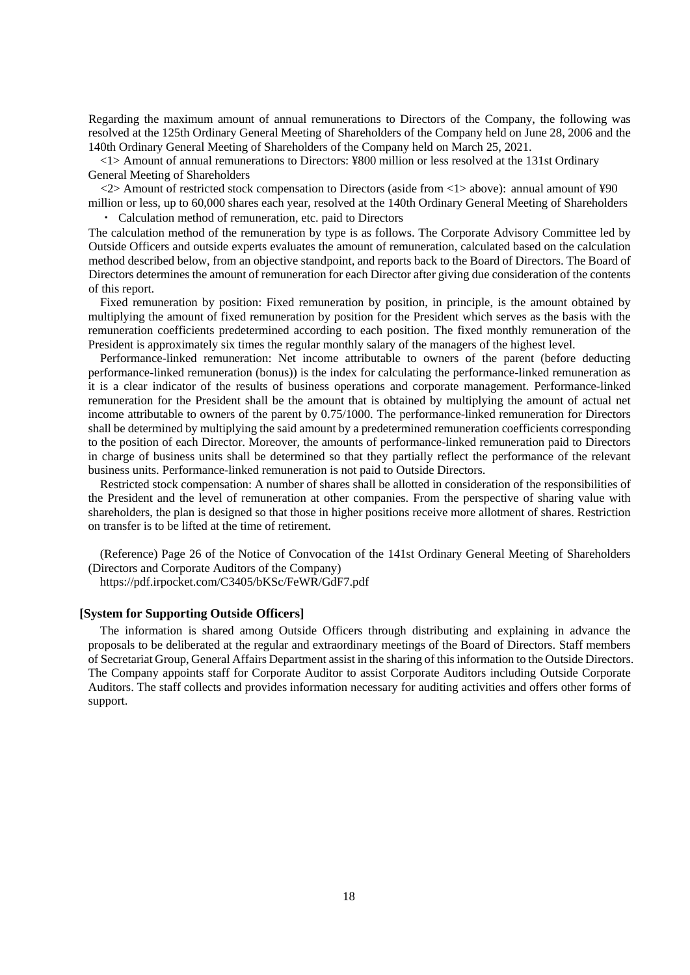Regarding the maximum amount of annual remunerations to Directors of the Company, the following was resolved at the 125th Ordinary General Meeting of Shareholders of the Company held on June 28, 2006 and the 140th Ordinary General Meeting of Shareholders of the Company held on March 25, 2021.

<1> Amount of annual remunerations to Directors: ¥800 million or less resolved at the 131st Ordinary General Meeting of Shareholders

<2> Amount of restricted stock compensation to Directors (aside from <1> above): annual amount of ¥90 million or less, up to 60,000 shares each year, resolved at the 140th Ordinary General Meeting of Shareholders

Calculation method of remuneration, etc. paid to Directors The calculation method of the remuneration by type is as follows. The Corporate Advisory Committee led by Outside Officers and outside experts evaluates the amount of remuneration, calculated based on the calculation method described below, from an objective standpoint, and reports back to the Board of Directors. The Board of Directors determines the amount of remuneration for each Director after giving due consideration of the contents of this report.

Fixed remuneration by position: Fixed remuneration by position, in principle, is the amount obtained by multiplying the amount of fixed remuneration by position for the President which serves as the basis with the remuneration coefficients predetermined according to each position. The fixed monthly remuneration of the President is approximately six times the regular monthly salary of the managers of the highest level.

Performance-linked remuneration: Net income attributable to owners of the parent (before deducting performance-linked remuneration (bonus)) is the index for calculating the performance-linked remuneration as it is a clear indicator of the results of business operations and corporate management. Performance-linked remuneration for the President shall be the amount that is obtained by multiplying the amount of actual net income attributable to owners of the parent by 0.75/1000. The performance-linked remuneration for Directors shall be determined by multiplying the said amount by a predetermined remuneration coefficients corresponding to the position of each Director. Moreover, the amounts of performance-linked remuneration paid to Directors in charge of business units shall be determined so that they partially reflect the performance of the relevant business units. Performance-linked remuneration is not paid to Outside Directors.

Restricted stock compensation: A number of shares shall be allotted in consideration of the responsibilities of the President and the level of remuneration at other companies. From the perspective of sharing value with shareholders, the plan is designed so that those in higher positions receive more allotment of shares. Restriction on transfer is to be lifted at the time of retirement.

(Reference) Page 26 of the Notice of Convocation of the 141st Ordinary General Meeting of Shareholders (Directors and Corporate Auditors of the Company)

https://pdf.irpocket.com/C3405/bKSc/FeWR/GdF7.pdf

#### **[System for Supporting Outside Officers]**

The information is shared among Outside Officers through distributing and explaining in advance the proposals to be deliberated at the regular and extraordinary meetings of the Board of Directors. Staff members of Secretariat Group, General Affairs Department assist in the sharing of this information to the Outside Directors. The Company appoints staff for Corporate Auditor to assist Corporate Auditors including Outside Corporate Auditors. The staff collects and provides information necessary for auditing activities and offers other forms of support.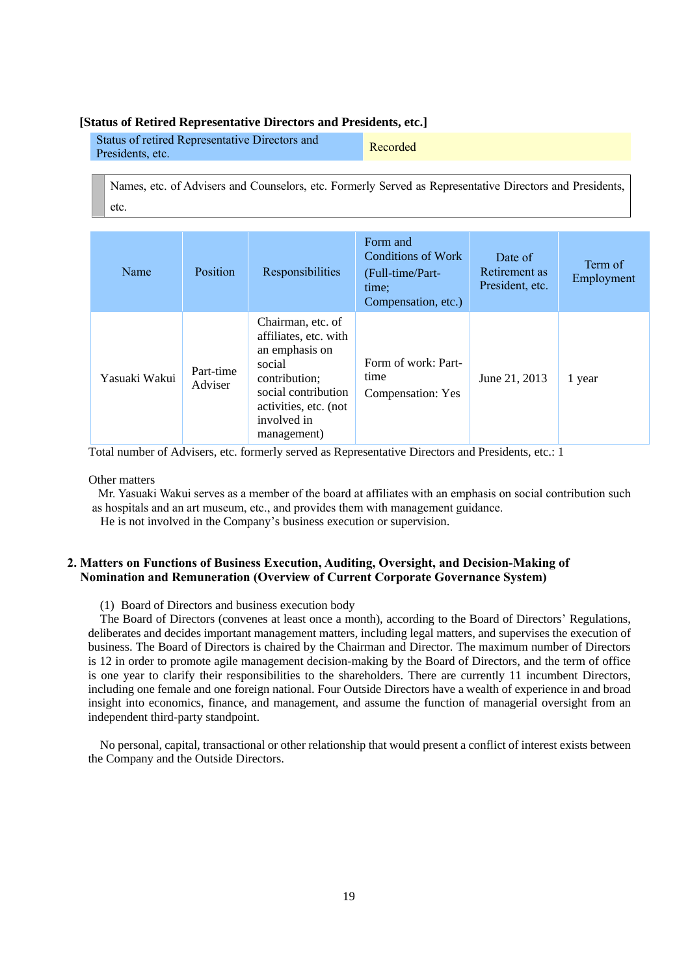#### **[Status of Retired Representative Directors and Presidents, etc.]**

| Status of retired Representative Directors and | Recorded |
|------------------------------------------------|----------|
| Presidents, etc.                               |          |

Names, etc. of Advisers and Counselors, etc. Formerly Served as Representative Directors and Presidents, etc.

| Name          | Position             | Responsibilities                                                                                                                                                      | Form and<br>Conditions of Work<br>(Full-time/Part-<br>time:<br>Compensation, etc.) | Date of<br>Retirement as<br>President, etc. | Term of<br>Employment |
|---------------|----------------------|-----------------------------------------------------------------------------------------------------------------------------------------------------------------------|------------------------------------------------------------------------------------|---------------------------------------------|-----------------------|
| Yasuaki Wakui | Part-time<br>Adviser | Chairman, etc. of<br>affiliates, etc. with<br>an emphasis on<br>social<br>contribution;<br>social contribution<br>activities, etc. (not<br>involved in<br>management) | Form of work: Part-<br>time<br>Compensation: Yes                                   | June 21, 2013                               | 1 year                |

Total number of Advisers, etc. formerly served as Representative Directors and Presidents, etc.: 1

Other matters

Mr. Yasuaki Wakui serves as a member of the board at affiliates with an emphasis on social contribution such as hospitals and an art museum, etc., and provides them with management guidance.

He is not involved in the Company's business execution or supervision.

#### **2. Matters on Functions of Business Execution, Auditing, Oversight, and Decision-Making of Nomination and Remuneration (Overview of Current Corporate Governance System)**

(1) Board of Directors and business execution body

The Board of Directors (convenes at least once a month), according to the Board of Directors' Regulations, deliberates and decides important management matters, including legal matters, and supervises the execution of business. The Board of Directors is chaired by the Chairman and Director. The maximum number of Directors is 12 in order to promote agile management decision-making by the Board of Directors, and the term of office is one year to clarify their responsibilities to the shareholders. There are currently 11 incumbent Directors, including one female and one foreign national. Four Outside Directors have a wealth of experience in and broad insight into economics, finance, and management, and assume the function of managerial oversight from an independent third-party standpoint.

No personal, capital, transactional or other relationship that would present a conflict of interest exists between the Company and the Outside Directors.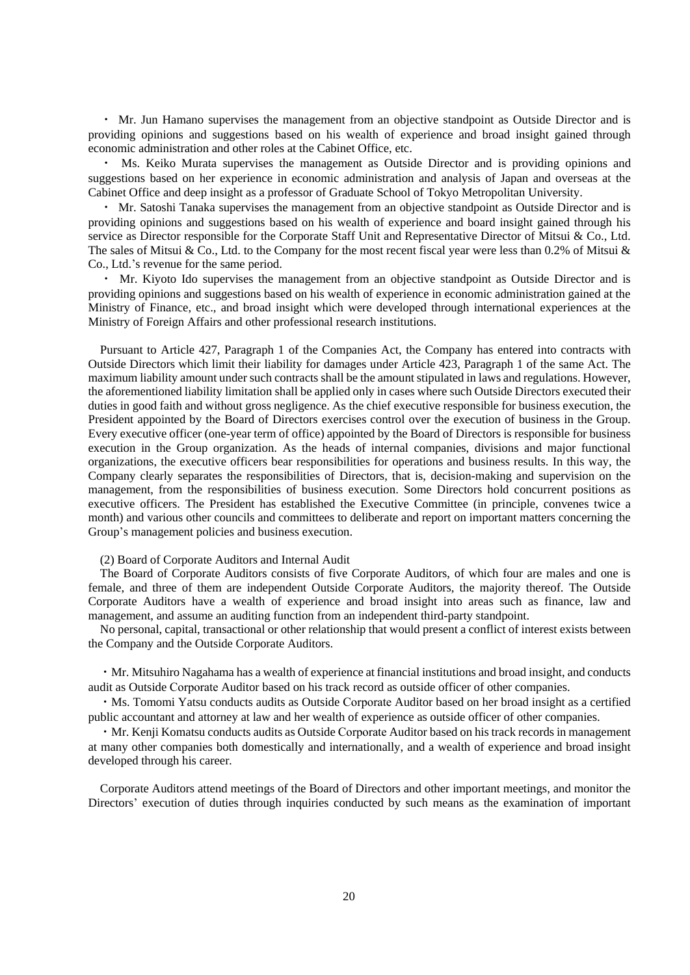・ Mr. Jun Hamano supervises the management from an objective standpoint as Outside Director and is providing opinions and suggestions based on his wealth of experience and broad insight gained through economic administration and other roles at the Cabinet Office, etc.

Ms. Keiko Murata supervises the management as Outside Director and is providing opinions and suggestions based on her experience in economic administration and analysis of Japan and overseas at the Cabinet Office and deep insight as a professor of Graduate School of Tokyo Metropolitan University.

・ Mr. Satoshi Tanaka supervises the management from an objective standpoint as Outside Director and is providing opinions and suggestions based on his wealth of experience and board insight gained through his service as Director responsible for the Corporate Staff Unit and Representative Director of Mitsui & Co., Ltd. The sales of Mitsui & Co., Ltd. to the Company for the most recent fiscal year were less than 0.2% of Mitsui & Co., Ltd.'s revenue for the same period.

・ Mr. Kiyoto Ido supervises the management from an objective standpoint as Outside Director and is providing opinions and suggestions based on his wealth of experience in economic administration gained at the Ministry of Finance, etc., and broad insight which were developed through international experiences at the Ministry of Foreign Affairs and other professional research institutions.

Pursuant to Article 427, Paragraph 1 of the Companies Act, the Company has entered into contracts with Outside Directors which limit their liability for damages under Article 423, Paragraph 1 of the same Act. The maximum liability amount under such contracts shall be the amount stipulated in laws and regulations. However, the aforementioned liability limitation shall be applied only in cases where such Outside Directors executed their duties in good faith and without gross negligence. As the chief executive responsible for business execution, the President appointed by the Board of Directors exercises control over the execution of business in the Group. Every executive officer (one-year term of office) appointed by the Board of Directors is responsible for business execution in the Group organization. As the heads of internal companies, divisions and major functional organizations, the executive officers bear responsibilities for operations and business results. In this way, the Company clearly separates the responsibilities of Directors, that is, decision-making and supervision on the management, from the responsibilities of business execution. Some Directors hold concurrent positions as executive officers. The President has established the Executive Committee (in principle, convenes twice a month) and various other councils and committees to deliberate and report on important matters concerning the Group's management policies and business execution.

#### (2) Board of Corporate Auditors and Internal Audit

The Board of Corporate Auditors consists of five Corporate Auditors, of which four are males and one is female, and three of them are independent Outside Corporate Auditors, the majority thereof. The Outside Corporate Auditors have a wealth of experience and broad insight into areas such as finance, law and management, and assume an auditing function from an independent third-party standpoint.

No personal, capital, transactional or other relationship that would present a conflict of interest exists between the Company and the Outside Corporate Auditors.

・Mr. Mitsuhiro Nagahama has a wealth of experience at financial institutions and broad insight, and conducts audit as Outside Corporate Auditor based on his track record as outside officer of other companies.

・Ms. Tomomi Yatsu conducts audits as Outside Corporate Auditor based on her broad insight as a certified public accountant and attorney at law and her wealth of experience as outside officer of other companies.

・Mr. Kenji Komatsu conducts audits as Outside Corporate Auditor based on his track records in management at many other companies both domestically and internationally, and a wealth of experience and broad insight developed through his career.

Corporate Auditors attend meetings of the Board of Directors and other important meetings, and monitor the Directors' execution of duties through inquiries conducted by such means as the examination of important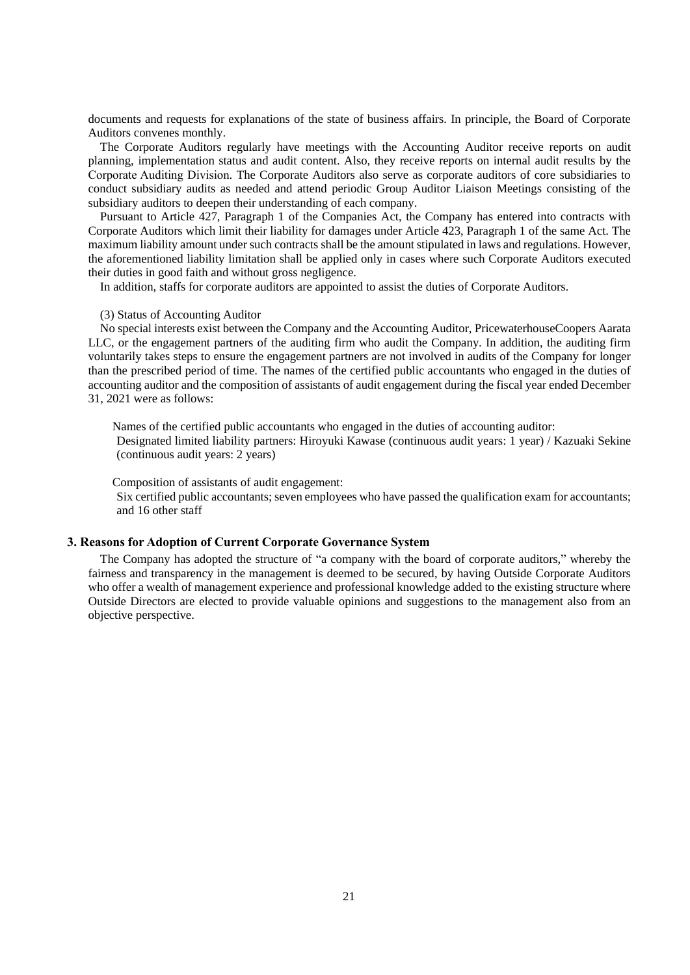documents and requests for explanations of the state of business affairs. In principle, the Board of Corporate Auditors convenes monthly.

The Corporate Auditors regularly have meetings with the Accounting Auditor receive reports on audit planning, implementation status and audit content. Also, they receive reports on internal audit results by the Corporate Auditing Division. The Corporate Auditors also serve as corporate auditors of core subsidiaries to conduct subsidiary audits as needed and attend periodic Group Auditor Liaison Meetings consisting of the subsidiary auditors to deepen their understanding of each company.

Pursuant to Article 427, Paragraph 1 of the Companies Act, the Company has entered into contracts with Corporate Auditors which limit their liability for damages under Article 423, Paragraph 1 of the same Act. The maximum liability amount under such contracts shall be the amount stipulated in laws and regulations. However, the aforementioned liability limitation shall be applied only in cases where such Corporate Auditors executed their duties in good faith and without gross negligence.

In addition, staffs for corporate auditors are appointed to assist the duties of Corporate Auditors.

#### (3) Status of Accounting Auditor

No special interests exist between the Company and the Accounting Auditor, PricewaterhouseCoopers Aarata LLC, or the engagement partners of the auditing firm who audit the Company. In addition, the auditing firm voluntarily takes steps to ensure the engagement partners are not involved in audits of the Company for longer than the prescribed period of time. The names of the certified public accountants who engaged in the duties of accounting auditor and the composition of assistants of audit engagement during the fiscal year ended December 31, 2021 were as follows:

Names of the certified public accountants who engaged in the duties of accounting auditor: Designated limited liability partners: Hiroyuki Kawase (continuous audit years: 1 year) / Kazuaki Sekine (continuous audit years: 2 years)

Composition of assistants of audit engagement:

Six certified public accountants; seven employees who have passed the qualification exam for accountants; and 16 other staff

#### **3. Reasons for Adoption of Current Corporate Governance System**

The Company has adopted the structure of "a company with the board of corporate auditors," whereby the fairness and transparency in the management is deemed to be secured, by having Outside Corporate Auditors who offer a wealth of management experience and professional knowledge added to the existing structure where Outside Directors are elected to provide valuable opinions and suggestions to the management also from an objective perspective.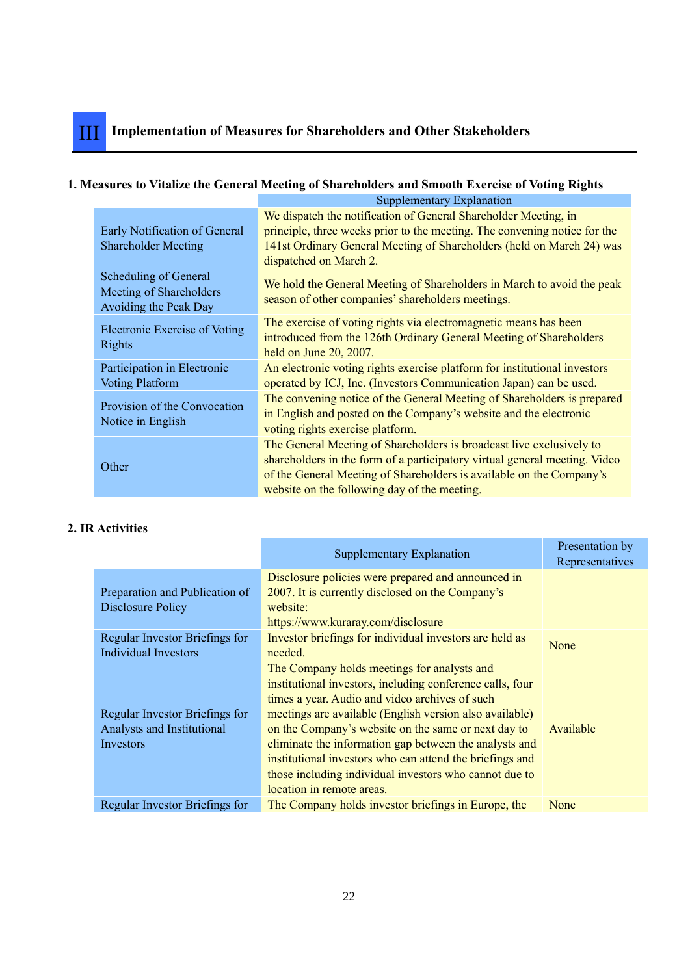## **1. Measures to Vitalize the General Meeting of Shareholders and Smooth Exercise of Voting Rights**

|                                                                           | Supplementary Explanation                                                                                                                                                                                                                                                  |
|---------------------------------------------------------------------------|----------------------------------------------------------------------------------------------------------------------------------------------------------------------------------------------------------------------------------------------------------------------------|
| Early Notification of General<br><b>Shareholder Meeting</b>               | We dispatch the notification of General Shareholder Meeting, in<br>principle, three weeks prior to the meeting. The convening notice for the<br>141st Ordinary General Meeting of Shareholders (held on March 24) was<br>dispatched on March 2.                            |
| Scheduling of General<br>Meeting of Shareholders<br>Avoiding the Peak Day | We hold the General Meeting of Shareholders in March to avoid the peak<br>season of other companies' shareholders meetings.                                                                                                                                                |
| Electronic Exercise of Voting<br><b>Rights</b>                            | The exercise of voting rights via electromagnetic means has been<br>introduced from the 126th Ordinary General Meeting of Shareholders<br>held on June 20, 2007.                                                                                                           |
| Participation in Electronic<br><b>Voting Platform</b>                     | An electronic voting rights exercise platform for institutional investors<br>operated by ICJ, Inc. (Investors Communication Japan) can be used.                                                                                                                            |
| Provision of the Convocation<br>Notice in English                         | The convening notice of the General Meeting of Shareholders is prepared<br>in English and posted on the Company's website and the electronic<br>voting rights exercise platform.                                                                                           |
| Other                                                                     | The General Meeting of Shareholders is broadcast live exclusively to<br>shareholders in the form of a participatory virtual general meeting. Video<br>of the General Meeting of Shareholders is available on the Company's<br>website on the following day of the meeting. |

## **2. IR Activities**

|                                                                           | <b>Supplementary Explanation</b>                                                                                                                                                                                                                                                                                                                                                                                                                                                          | Presentation by<br>Representatives |
|---------------------------------------------------------------------------|-------------------------------------------------------------------------------------------------------------------------------------------------------------------------------------------------------------------------------------------------------------------------------------------------------------------------------------------------------------------------------------------------------------------------------------------------------------------------------------------|------------------------------------|
| Preparation and Publication of<br>Disclosure Policy                       | Disclosure policies were prepared and announced in<br>2007. It is currently disclosed on the Company's<br>website:<br>https://www.kuraray.com/disclosure                                                                                                                                                                                                                                                                                                                                  |                                    |
| Regular Investor Briefings for<br><b>Individual Investors</b>             | Investor briefings for individual investors are held as<br>needed.                                                                                                                                                                                                                                                                                                                                                                                                                        | None                               |
| Regular Investor Briefings for<br>Analysts and Institutional<br>Investors | The Company holds meetings for analysts and<br>institutional investors, including conference calls, four<br>times a year. Audio and video archives of such<br>meetings are available (English version also available)<br>on the Company's website on the same or next day to<br>eliminate the information gap between the analysts and<br>institutional investors who can attend the briefings and<br>those including individual investors who cannot due to<br>location in remote areas. | Available                          |
| Regular Investor Briefings for                                            | The Company holds investor briefings in Europe, the                                                                                                                                                                                                                                                                                                                                                                                                                                       | None                               |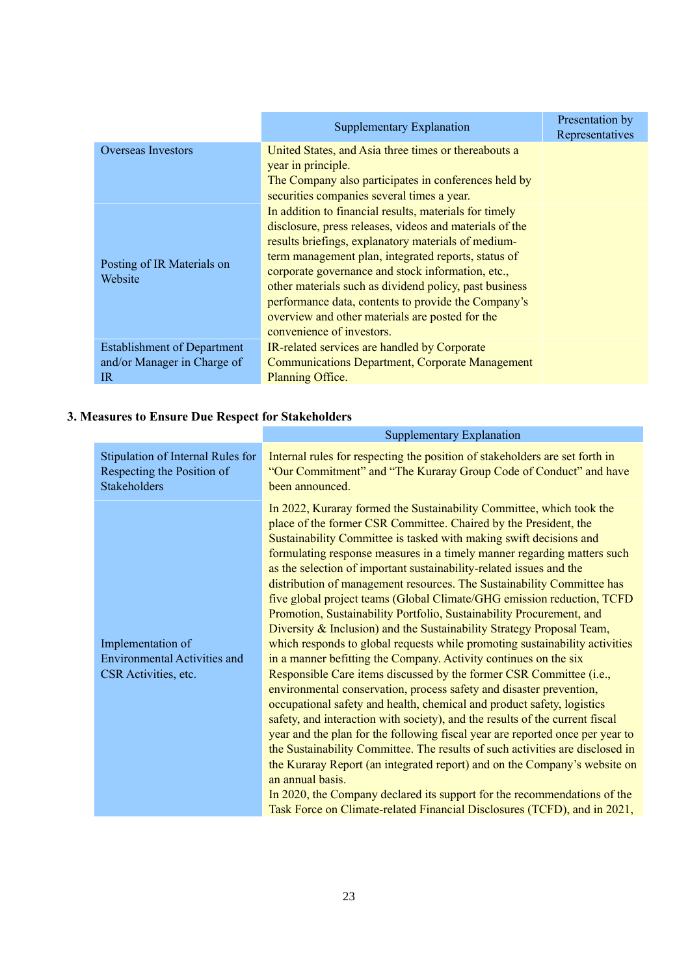|                                       | Supplementary Explanation                                                                                                                                                                                                                                                                                                                                                                                                                                                             | Presentation by<br>Representatives |
|---------------------------------------|---------------------------------------------------------------------------------------------------------------------------------------------------------------------------------------------------------------------------------------------------------------------------------------------------------------------------------------------------------------------------------------------------------------------------------------------------------------------------------------|------------------------------------|
| <b>Overseas Investors</b>             | United States, and Asia three times or thereabouts a<br>year in principle.<br>The Company also participates in conferences held by<br>securities companies several times a year.                                                                                                                                                                                                                                                                                                      |                                    |
| Posting of IR Materials on<br>Website | In addition to financial results, materials for timely<br>disclosure, press releases, videos and materials of the<br>results briefings, explanatory materials of medium-<br>term management plan, integrated reports, status of<br>corporate governance and stock information, etc.,<br>other materials such as dividend policy, past business<br>performance data, contents to provide the Company's<br>overview and other materials are posted for the<br>convenience of investors. |                                    |
| <b>Establishment of Department</b>    | IR-related services are handled by Corporate                                                                                                                                                                                                                                                                                                                                                                                                                                          |                                    |
| and/or Manager in Charge of           | <b>Communications Department, Corporate Management</b>                                                                                                                                                                                                                                                                                                                                                                                                                                |                                    |
| $_{\rm IR}$                           | Planning Office.                                                                                                                                                                                                                                                                                                                                                                                                                                                                      |                                    |

## **3. Measures to Ensure Due Respect for Stakeholders**

|                                                                                  | <b>Supplementary Explanation</b>                                                                                                                                                                                                                                                                                                                                                                                                                                                                                                                                                                                                                                                                                                                                                                                                                                                                                                                                                                                                                                                                                                                                                                                                                                                                                                                                                                                                                                                                                                                            |
|----------------------------------------------------------------------------------|-------------------------------------------------------------------------------------------------------------------------------------------------------------------------------------------------------------------------------------------------------------------------------------------------------------------------------------------------------------------------------------------------------------------------------------------------------------------------------------------------------------------------------------------------------------------------------------------------------------------------------------------------------------------------------------------------------------------------------------------------------------------------------------------------------------------------------------------------------------------------------------------------------------------------------------------------------------------------------------------------------------------------------------------------------------------------------------------------------------------------------------------------------------------------------------------------------------------------------------------------------------------------------------------------------------------------------------------------------------------------------------------------------------------------------------------------------------------------------------------------------------------------------------------------------------|
| Stipulation of Internal Rules for<br>Respecting the Position of<br>Stakeholders  | Internal rules for respecting the position of stakeholders are set forth in<br>"Our Commitment" and "The Kuraray Group Code of Conduct" and have<br>been announced.                                                                                                                                                                                                                                                                                                                                                                                                                                                                                                                                                                                                                                                                                                                                                                                                                                                                                                                                                                                                                                                                                                                                                                                                                                                                                                                                                                                         |
| Implementation of<br><b>Environmental Activities and</b><br>CSR Activities, etc. | In 2022, Kuraray formed the Sustainability Committee, which took the<br>place of the former CSR Committee. Chaired by the President, the<br>Sustainability Committee is tasked with making swift decisions and<br>formulating response measures in a timely manner regarding matters such<br>as the selection of important sustainability-related issues and the<br>distribution of management resources. The Sustainability Committee has<br>five global project teams (Global Climate/GHG emission reduction, TCFD<br>Promotion, Sustainability Portfolio, Sustainability Procurement, and<br>Diversity & Inclusion) and the Sustainability Strategy Proposal Team,<br>which responds to global requests while promoting sustainability activities<br>in a manner befitting the Company. Activity continues on the six<br>Responsible Care items discussed by the former CSR Committee (i.e.,<br>environmental conservation, process safety and disaster prevention,<br>occupational safety and health, chemical and product safety, logistics<br>safety, and interaction with society), and the results of the current fiscal<br>year and the plan for the following fiscal year are reported once per year to<br>the Sustainability Committee. The results of such activities are disclosed in<br>the Kuraray Report (an integrated report) and on the Company's website on<br>an annual basis.<br>In 2020, the Company declared its support for the recommendations of the<br>Task Force on Climate-related Financial Disclosures (TCFD), and in 2021, |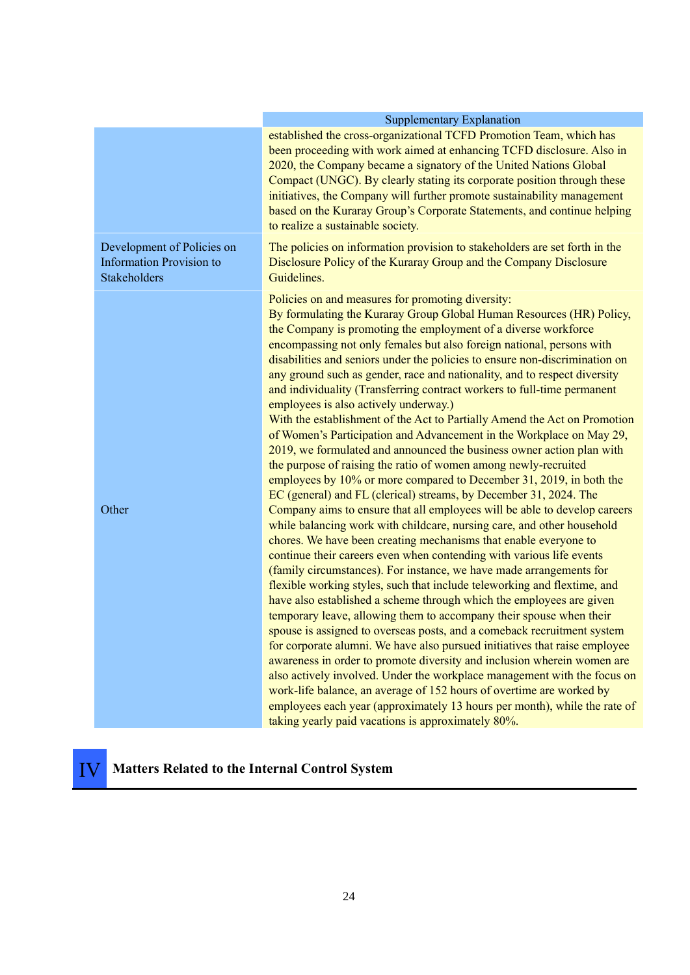|                                                                               | <b>Supplementary Explanation</b>                                                                                                                                                                                                                                                                                                                                                                                                                                                                                                                                                                                                                                                                                                                                                                                                                                                                                                                                                                                                                                                                                                                                                                                                                                                                                                                                                                                                                                                                                                                                                                                                                                                                                                                                                                                                                                                                                                                                                                                                                                                                                                  |  |  |  |  |  |  |
|-------------------------------------------------------------------------------|-----------------------------------------------------------------------------------------------------------------------------------------------------------------------------------------------------------------------------------------------------------------------------------------------------------------------------------------------------------------------------------------------------------------------------------------------------------------------------------------------------------------------------------------------------------------------------------------------------------------------------------------------------------------------------------------------------------------------------------------------------------------------------------------------------------------------------------------------------------------------------------------------------------------------------------------------------------------------------------------------------------------------------------------------------------------------------------------------------------------------------------------------------------------------------------------------------------------------------------------------------------------------------------------------------------------------------------------------------------------------------------------------------------------------------------------------------------------------------------------------------------------------------------------------------------------------------------------------------------------------------------------------------------------------------------------------------------------------------------------------------------------------------------------------------------------------------------------------------------------------------------------------------------------------------------------------------------------------------------------------------------------------------------------------------------------------------------------------------------------------------------|--|--|--|--|--|--|
|                                                                               | established the cross-organizational TCFD Promotion Team, which has<br>been proceeding with work aimed at enhancing TCFD disclosure. Also in<br>2020, the Company became a signatory of the United Nations Global<br>Compact (UNGC). By clearly stating its corporate position through these<br>initiatives, the Company will further promote sustainability management<br>based on the Kuraray Group's Corporate Statements, and continue helping<br>to realize a sustainable society.                                                                                                                                                                                                                                                                                                                                                                                                                                                                                                                                                                                                                                                                                                                                                                                                                                                                                                                                                                                                                                                                                                                                                                                                                                                                                                                                                                                                                                                                                                                                                                                                                                           |  |  |  |  |  |  |
| Development of Policies on<br><b>Information Provision to</b><br>Stakeholders | The policies on information provision to stakeholders are set forth in the<br>Disclosure Policy of the Kuraray Group and the Company Disclosure<br>Guidelines.                                                                                                                                                                                                                                                                                                                                                                                                                                                                                                                                                                                                                                                                                                                                                                                                                                                                                                                                                                                                                                                                                                                                                                                                                                                                                                                                                                                                                                                                                                                                                                                                                                                                                                                                                                                                                                                                                                                                                                    |  |  |  |  |  |  |
| Other                                                                         | Policies on and measures for promoting diversity:<br>By formulating the Kuraray Group Global Human Resources (HR) Policy,<br>the Company is promoting the employment of a diverse workforce<br>encompassing not only females but also foreign national, persons with<br>disabilities and seniors under the policies to ensure non-discrimination on<br>any ground such as gender, race and nationality, and to respect diversity<br>and individuality (Transferring contract workers to full-time permanent<br>employees is also actively underway.)<br>With the establishment of the Act to Partially Amend the Act on Promotion<br>of Women's Participation and Advancement in the Workplace on May 29,<br>2019, we formulated and announced the business owner action plan with<br>the purpose of raising the ratio of women among newly-recruited<br>employees by 10% or more compared to December 31, 2019, in both the<br>EC (general) and FL (clerical) streams, by December 31, 2024. The<br>Company aims to ensure that all employees will be able to develop careers<br>while balancing work with childcare, nursing care, and other household<br>chores. We have been creating mechanisms that enable everyone to<br>continue their careers even when contending with various life events<br>(family circumstances). For instance, we have made arrangements for<br>flexible working styles, such that include teleworking and flextime, and<br>have also established a scheme through which the employees are given<br>temporary leave, allowing them to accompany their spouse when their<br>spouse is assigned to overseas posts, and a comeback recruitment system<br>for corporate alumni. We have also pursued initiatives that raise employee<br>awareness in order to promote diversity and inclusion wherein women are<br>also actively involved. Under the workplace management with the focus on<br>work-life balance, an average of 152 hours of overtime are worked by<br>employees each year (approximately 13 hours per month), while the rate of<br>taking yearly paid vacations is approximately 80%. |  |  |  |  |  |  |

## IV **Matters Related to the Internal Control System**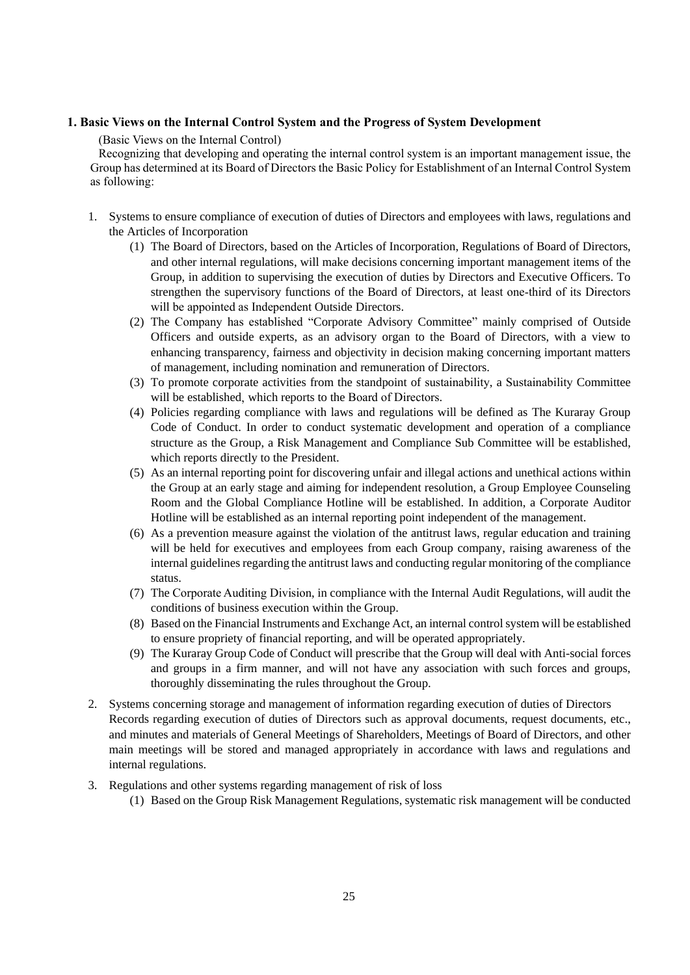#### **1. Basic Views on the Internal Control System and the Progress of System Development**

(Basic Views on the Internal Control)

Recognizing that developing and operating the internal control system is an important management issue, the Group has determined at its Board of Directors the Basic Policy for Establishment of an Internal Control System as following:

- 1. Systems to ensure compliance of execution of duties of Directors and employees with laws, regulations and the Articles of Incorporation
	- (1) The Board of Directors, based on the Articles of Incorporation, Regulations of Board of Directors, and other internal regulations, will make decisions concerning important management items of the Group, in addition to supervising the execution of duties by Directors and Executive Officers. To strengthen the supervisory functions of the Board of Directors, at least one-third of its Directors will be appointed as Independent Outside Directors.
	- (2) The Company has established "Corporate Advisory Committee" mainly comprised of Outside Officers and outside experts, as an advisory organ to the Board of Directors, with a view to enhancing transparency, fairness and objectivity in decision making concerning important matters of management, including nomination and remuneration of Directors.
	- (3) To promote corporate activities from the standpoint of sustainability, a Sustainability Committee will be established, which reports to the Board of Directors.
	- (4) Policies regarding compliance with laws and regulations will be defined as The Kuraray Group Code of Conduct. In order to conduct systematic development and operation of a compliance structure as the Group, a Risk Management and Compliance Sub Committee will be established, which reports directly to the President.
	- (5) As an internal reporting point for discovering unfair and illegal actions and unethical actions within the Group at an early stage and aiming for independent resolution, a Group Employee Counseling Room and the Global Compliance Hotline will be established. In addition, a Corporate Auditor Hotline will be established as an internal reporting point independent of the management.
	- (6) As a prevention measure against the violation of the antitrust laws, regular education and training will be held for executives and employees from each Group company, raising awareness of the internal guidelines regarding the antitrust laws and conducting regular monitoring of the compliance status.
	- (7) The Corporate Auditing Division, in compliance with the Internal Audit Regulations, will audit the conditions of business execution within the Group.
	- (8) Based on the Financial Instruments and Exchange Act, an internal control system will be established to ensure propriety of financial reporting, and will be operated appropriately.
	- (9) The Kuraray Group Code of Conduct will prescribe that the Group will deal with Anti-social forces and groups in a firm manner, and will not have any association with such forces and groups, thoroughly disseminating the rules throughout the Group.
- 2. Systems concerning storage and management of information regarding execution of duties of Directors Records regarding execution of duties of Directors such as approval documents, request documents, etc., and minutes and materials of General Meetings of Shareholders, Meetings of Board of Directors, and other main meetings will be stored and managed appropriately in accordance with laws and regulations and internal regulations.
- 3. Regulations and other systems regarding management of risk of loss
	- (1) Based on the Group Risk Management Regulations, systematic risk management will be conducted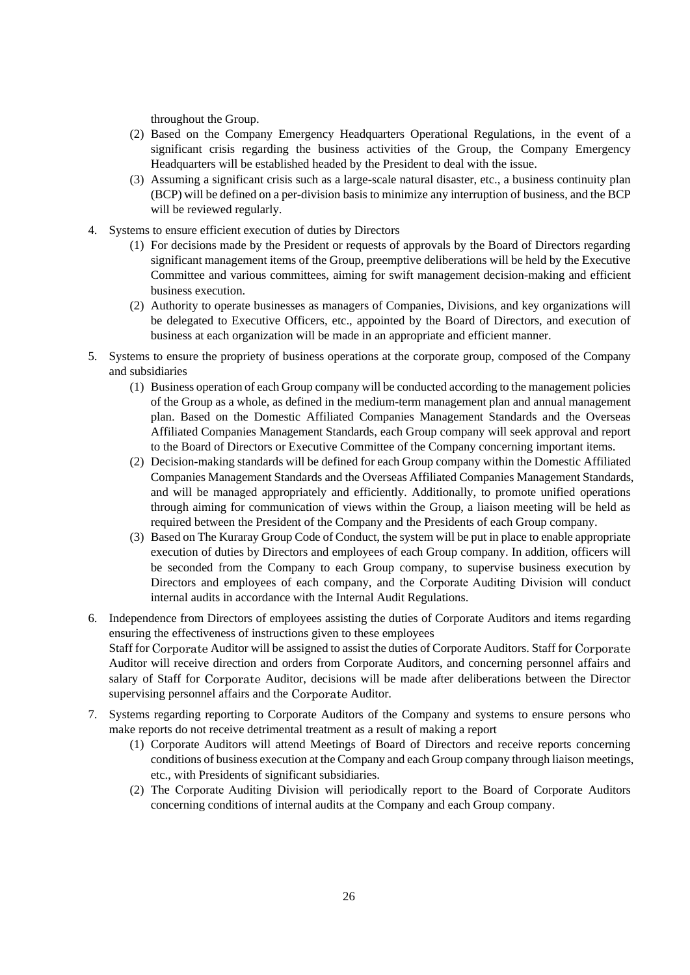throughout the Group.

- (2) Based on the Company Emergency Headquarters Operational Regulations, in the event of a significant crisis regarding the business activities of the Group, the Company Emergency Headquarters will be established headed by the President to deal with the issue.
- (3) Assuming a significant crisis such as a large-scale natural disaster, etc., a business continuity plan (BCP) will be defined on a per-division basis to minimize any interruption of business, and the BCP will be reviewed regularly.
- 4. Systems to ensure efficient execution of duties by Directors
	- (1) For decisions made by the President or requests of approvals by the Board of Directors regarding significant management items of the Group, preemptive deliberations will be held by the Executive Committee and various committees, aiming for swift management decision-making and efficient business execution.
	- (2) Authority to operate businesses as managers of Companies, Divisions, and key organizations will be delegated to Executive Officers, etc., appointed by the Board of Directors, and execution of business at each organization will be made in an appropriate and efficient manner.
- 5. Systems to ensure the propriety of business operations at the corporate group, composed of the Company and subsidiaries
	- (1) Business operation of each Group company will be conducted according to the management policies of the Group as a whole, as defined in the medium-term management plan and annual management plan. Based on the Domestic Affiliated Companies Management Standards and the Overseas Affiliated Companies Management Standards, each Group company will seek approval and report to the Board of Directors or Executive Committee of the Company concerning important items.
	- (2) Decision-making standards will be defined for each Group company within the Domestic Affiliated Companies Management Standards and the Overseas Affiliated Companies Management Standards, and will be managed appropriately and efficiently. Additionally, to promote unified operations through aiming for communication of views within the Group, a liaison meeting will be held as required between the President of the Company and the Presidents of each Group company.
	- (3) Based on The Kuraray Group Code of Conduct, the system will be put in place to enable appropriate execution of duties by Directors and employees of each Group company. In addition, officers will be seconded from the Company to each Group company, to supervise business execution by Directors and employees of each company, and the Corporate Auditing Division will conduct internal audits in accordance with the Internal Audit Regulations.
- 6. Independence from Directors of employees assisting the duties of Corporate Auditors and items regarding ensuring the effectiveness of instructions given to these employees Staff for Corporate Auditor will be assigned to assist the duties of Corporate Auditors. Staff for Corporate Auditor will receive direction and orders from Corporate Auditors, and concerning personnel affairs and salary of Staff for Corporate Auditor, decisions will be made after deliberations between the Director supervising personnel affairs and the Corporate Auditor.
- 7. Systems regarding reporting to Corporate Auditors of the Company and systems to ensure persons who make reports do not receive detrimental treatment as a result of making a report
	- (1) Corporate Auditors will attend Meetings of Board of Directors and receive reports concerning conditions of business execution at the Company and each Group company through liaison meetings, etc., with Presidents of significant subsidiaries.
	- (2) The Corporate Auditing Division will periodically report to the Board of Corporate Auditors concerning conditions of internal audits at the Company and each Group company.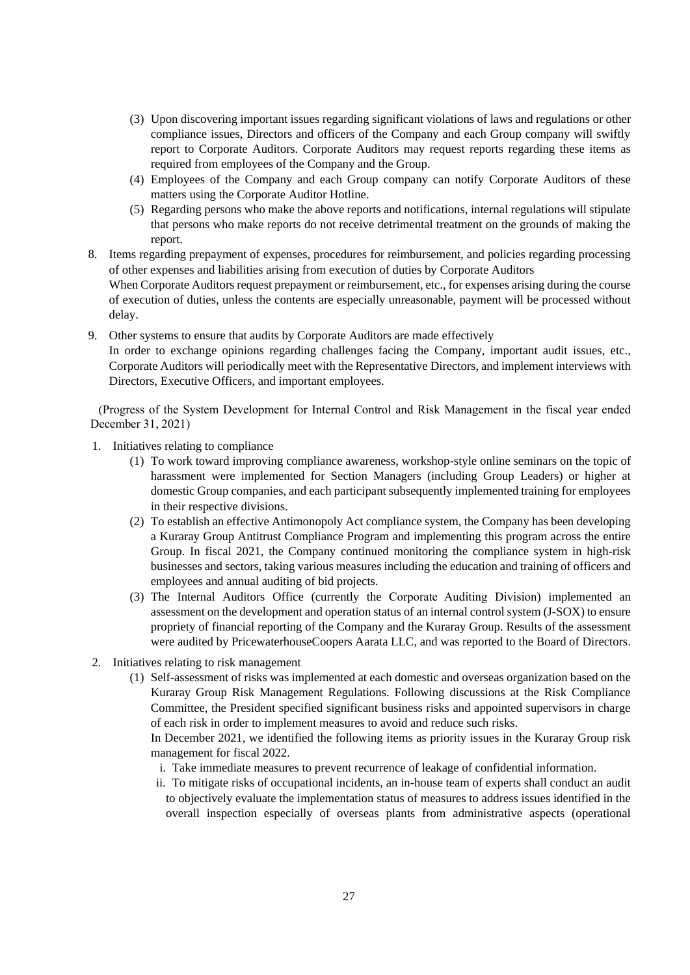- (3) Upon discovering important issues regarding significant violations of laws and regulations or other compliance issues, Directors and officers of the Company and each Group company will swiftly report to Corporate Auditors. Corporate Auditors may request reports regarding these items as required from employees of the Company and the Group.
- (4) Employees of the Company and each Group company can notify Corporate Auditors of these matters using the Corporate Auditor Hotline.
- (5) Regarding persons who make the above reports and notifications, internal regulations will stipulate that persons who make reports do not receive detrimental treatment on the grounds of making the report.
- 8. Items regarding prepayment of expenses, procedures for reimbursement, and policies regarding processing of other expenses and liabilities arising from execution of duties by Corporate Auditors When Corporate Auditors request prepayment or reimbursement, etc., for expenses arising during the course of execution of duties, unless the contents are especially unreasonable, payment will be processed without delay.
- 9. Other systems to ensure that audits by Corporate Auditors are made effectively In order to exchange opinions regarding challenges facing the Company, important audit issues, etc., Corporate Auditors will periodically meet with the Representative Directors, and implement interviews with Directors, Executive Officers, and important employees.

(Progress of the System Development for Internal Control and Risk Management in the fiscal year ended December 31, 2021)

- 1. Initiatives relating to compliance
	- (1) To work toward improving compliance awareness, workshop-style online seminars on the topic of harassment were implemented for Section Managers (including Group Leaders) or higher at domestic Group companies, and each participant subsequently implemented training for employees in their respective divisions.
	- (2) To establish an effective Antimonopoly Act compliance system, the Company has been developing a Kuraray Group Antitrust Compliance Program and implementing this program across the entire Group. In fiscal 2021, the Company continued monitoring the compliance system in high-risk businesses and sectors, taking various measures including the education and training of officers and employees and annual auditing of bid projects.
	- (3) The Internal Auditors Office (currently the Corporate Auditing Division) implemented an assessment on the development and operation status of an internal control system (J-SOX) to ensure propriety of financial reporting of the Company and the Kuraray Group. Results of the assessment were audited by PricewaterhouseCoopers Aarata LLC, and was reported to the Board of Directors.
- 2. Initiatives relating to risk management
	- (1) Self-assessment of risks was implemented at each domestic and overseas organization based on the Kuraray Group Risk Management Regulations. Following discussions at the Risk Compliance Committee, the President specified significant business risks and appointed supervisors in charge of each risk in order to implement measures to avoid and reduce such risks.

In December 2021, we identified the following items as priority issues in the Kuraray Group risk management for fiscal 2022.

- i. Take immediate measures to prevent recurrence of leakage of confidential information.
- ii. To mitigate risks of occupational incidents, an in-house team of experts shall conduct an audit to objectively evaluate the implementation status of measures to address issues identified in the overall inspection especially of overseas plants from administrative aspects (operational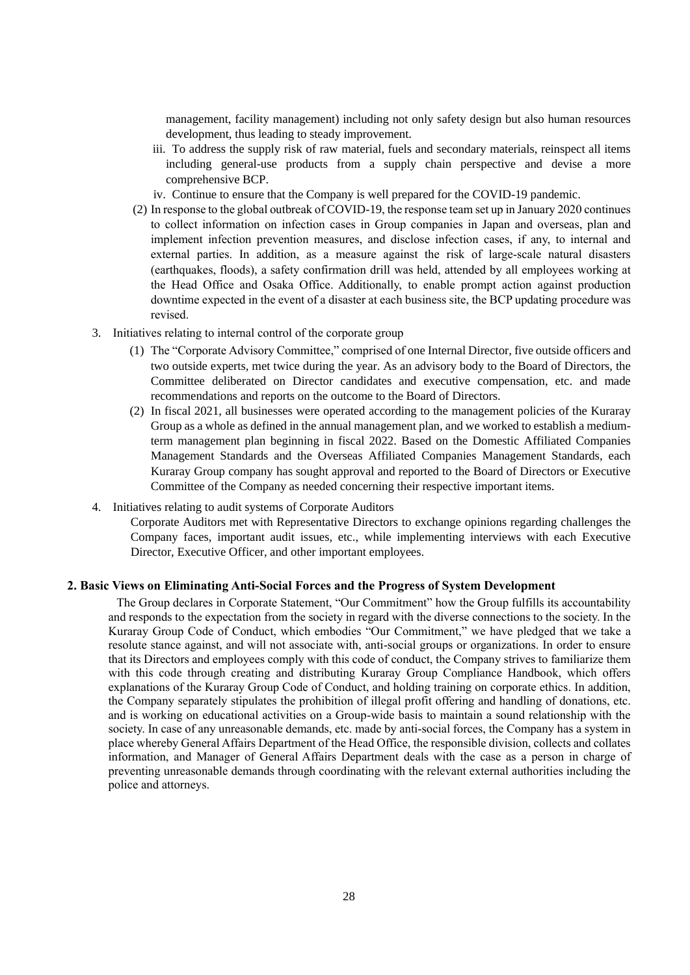management, facility management) including not only safety design but also human resources development, thus leading to steady improvement.

- iii. To address the supply risk of raw material, fuels and secondary materials, reinspect all items including general-use products from a supply chain perspective and devise a more comprehensive BCP.
- iv. Continue to ensure that the Company is well prepared for the COVID-19 pandemic.
- (2) In response to the global outbreak of COVID-19, the response team set up in January 2020 continues to collect information on infection cases in Group companies in Japan and overseas, plan and implement infection prevention measures, and disclose infection cases, if any, to internal and external parties. In addition, as a measure against the risk of large-scale natural disasters (earthquakes, floods), a safety confirmation drill was held, attended by all employees working at the Head Office and Osaka Office. Additionally, to enable prompt action against production downtime expected in the event of a disaster at each business site, the BCP updating procedure was revised.
- 3. Initiatives relating to internal control of the corporate group
	- (1) The "Corporate Advisory Committee," comprised of one Internal Director, five outside officers and two outside experts, met twice during the year. As an advisory body to the Board of Directors, the Committee deliberated on Director candidates and executive compensation, etc. and made recommendations and reports on the outcome to the Board of Directors.
	- (2) In fiscal 2021, all businesses were operated according to the management policies of the Kuraray Group as a whole as defined in the annual management plan, and we worked to establish a mediumterm management plan beginning in fiscal 2022. Based on the Domestic Affiliated Companies Management Standards and the Overseas Affiliated Companies Management Standards, each Kuraray Group company has sought approval and reported to the Board of Directors or Executive Committee of the Company as needed concerning their respective important items.
- 4. Initiatives relating to audit systems of Corporate Auditors

Corporate Auditors met with Representative Directors to exchange opinions regarding challenges the Company faces, important audit issues, etc., while implementing interviews with each Executive Director, Executive Officer, and other important employees.

#### **2. Basic Views on Eliminating Anti-Social Forces and the Progress of System Development**

The Group declares in Corporate Statement, "Our Commitment" how the Group fulfills its accountability and responds to the expectation from the society in regard with the diverse connections to the society. In the Kuraray Group Code of Conduct, which embodies "Our Commitment," we have pledged that we take a resolute stance against, and will not associate with, anti-social groups or organizations. In order to ensure that its Directors and employees comply with this code of conduct, the Company strives to familiarize them with this code through creating and distributing Kuraray Group Compliance Handbook, which offers explanations of the Kuraray Group Code of Conduct, and holding training on corporate ethics. In addition, the Company separately stipulates the prohibition of illegal profit offering and handling of donations, etc. and is working on educational activities on a Group-wide basis to maintain a sound relationship with the society. In case of any unreasonable demands, etc. made by anti-social forces, the Company has a system in place whereby General Affairs Department of the Head Office, the responsible division, collects and collates information, and Manager of General Affairs Department deals with the case as a person in charge of preventing unreasonable demands through coordinating with the relevant external authorities including the police and attorneys.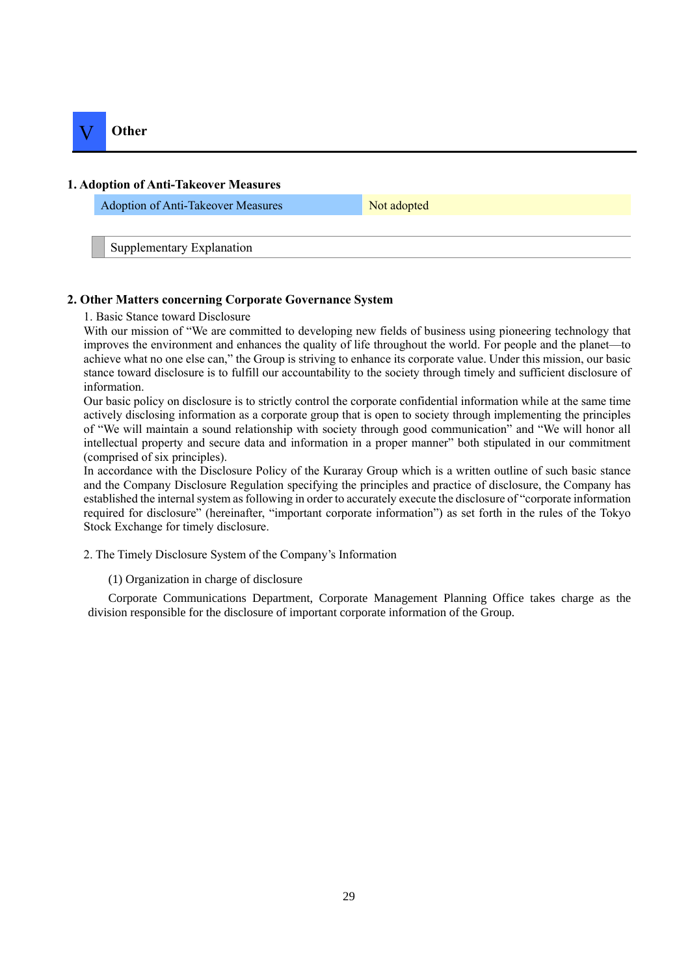

#### **1. Adoption of Anti-Takeover Measures**

Adoption of Anti-Takeover Measures Not adopted

Supplementary Explanation

#### **2. Other Matters concerning Corporate Governance System**

1. Basic Stance toward Disclosure

With our mission of "We are committed to developing new fields of business using pioneering technology that improves the environment and enhances the quality of life throughout the world. For people and the planet—to achieve what no one else can," the Group is striving to enhance its corporate value. Under this mission, our basic stance toward disclosure is to fulfill our accountability to the society through timely and sufficient disclosure of information.

Our basic policy on disclosure is to strictly control the corporate confidential information while at the same time actively disclosing information as a corporate group that is open to society through implementing the principles of "We will maintain a sound relationship with society through good communication" and "We will honor all intellectual property and secure data and information in a proper manner" both stipulated in our commitment (comprised of six principles).

In accordance with the Disclosure Policy of the Kuraray Group which is a written outline of such basic stance and the Company Disclosure Regulation specifying the principles and practice of disclosure, the Company has established the internal system as following in order to accurately execute the disclosure of "corporate information required for disclosure" (hereinafter, "important corporate information") as set forth in the rules of the Tokyo Stock Exchange for timely disclosure.

2. The Timely Disclosure System of the Company's Information

(1) Organization in charge of disclosure

Corporate Communications Department, Corporate Management Planning Office takes charge as the division responsible for the disclosure of important corporate information of the Group.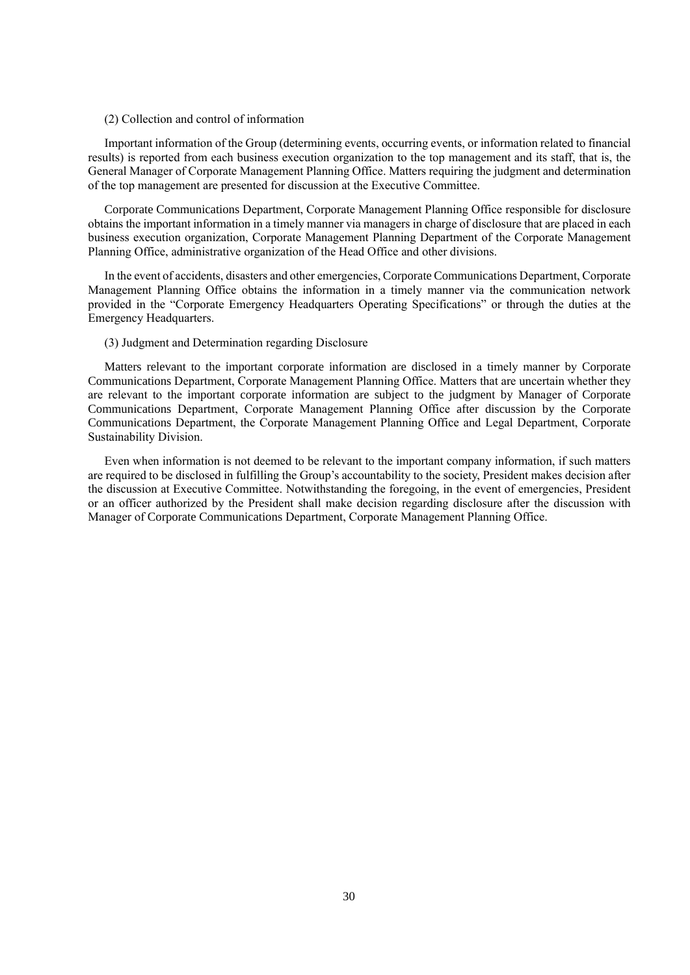#### (2) Collection and control of information

Important information of the Group (determining events, occurring events, or information related to financial results) is reported from each business execution organization to the top management and its staff, that is, the General Manager of Corporate Management Planning Office. Matters requiring the judgment and determination of the top management are presented for discussion at the Executive Committee.

Corporate Communications Department, Corporate Management Planning Office responsible for disclosure obtains the important information in a timely manner via managers in charge of disclosure that are placed in each business execution organization, Corporate Management Planning Department of the Corporate Management Planning Office, administrative organization of the Head Office and other divisions.

In the event of accidents, disasters and other emergencies, Corporate Communications Department, Corporate Management Planning Office obtains the information in a timely manner via the communication network provided in the "Corporate Emergency Headquarters Operating Specifications" or through the duties at the Emergency Headquarters.

#### (3) Judgment and Determination regarding Disclosure

Matters relevant to the important corporate information are disclosed in a timely manner by Corporate Communications Department, Corporate Management Planning Office. Matters that are uncertain whether they are relevant to the important corporate information are subject to the judgment by Manager of Corporate Communications Department, Corporate Management Planning Office after discussion by the Corporate Communications Department, the Corporate Management Planning Office and Legal Department, Corporate Sustainability Division.

Even when information is not deemed to be relevant to the important company information, if such matters are required to be disclosed in fulfilling the Group's accountability to the society, President makes decision after the discussion at Executive Committee. Notwithstanding the foregoing, in the event of emergencies, President or an officer authorized by the President shall make decision regarding disclosure after the discussion with Manager of Corporate Communications Department, Corporate Management Planning Office.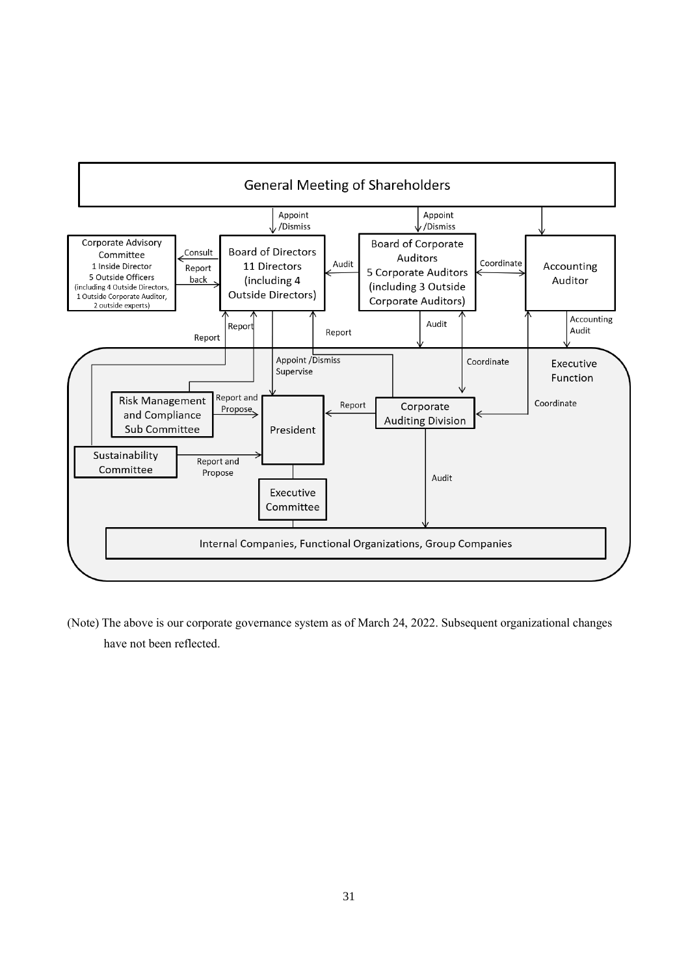

(Note) The above is our corporate governance system as of March 24, 2022. Subsequent organizational changes have not been reflected.